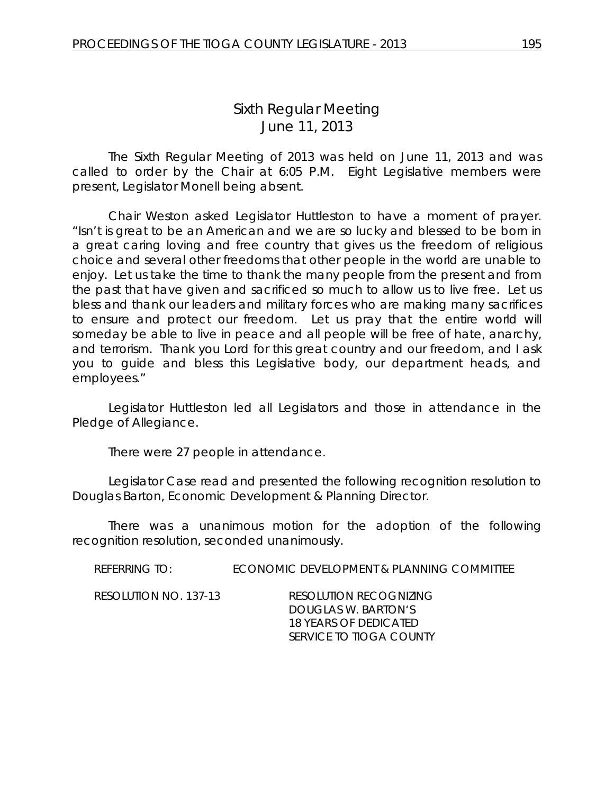# *Sixth Regular Meeting* June 11, 2013

The Sixth Regular Meeting of 2013 was held on June 11, 2013 and was called to order by the Chair at 6:05 P.M. Eight Legislative members were present, Legislator Monell being absent.

Chair Weston asked Legislator Huttleston to have a moment of prayer. "Isn't is great to be an American and we are so lucky and blessed to be born in a great caring loving and free country that gives us the freedom of religious choice and several other freedoms that other people in the world are unable to enjoy. Let us take the time to thank the many people from the present and from the past that have given and sacrificed so much to allow us to live free. Let us bless and thank our leaders and military forces who are making many sacrifices to ensure and protect our freedom. Let us pray that the entire world will someday be able to live in peace and all people will be free of hate, anarchy, and terrorism. Thank you Lord for this great country and our freedom, and I ask you to guide and bless this Legislative body, our department heads, and employees."

Legislator Huttleston led all Legislators and those in attendance in the Pledge of Allegiance.

There were 27 people in attendance.

Legislator Case read and presented the following recognition resolution to Douglas Barton, Economic Development & Planning Director.

There was a unanimous motion for the adoption of the following recognition resolution, seconded unanimously.

REFERRING TO: ECONOMIC DEVELOPMENT & PLANNING COMMITTEE RESOLUTION NO. 137-13 *RESOLUTION RECOGNIZING*

*DOUGLAS W. BARTON'S 18 YEARS OF DEDICATED SERVICE TO TIOGA COUNTY*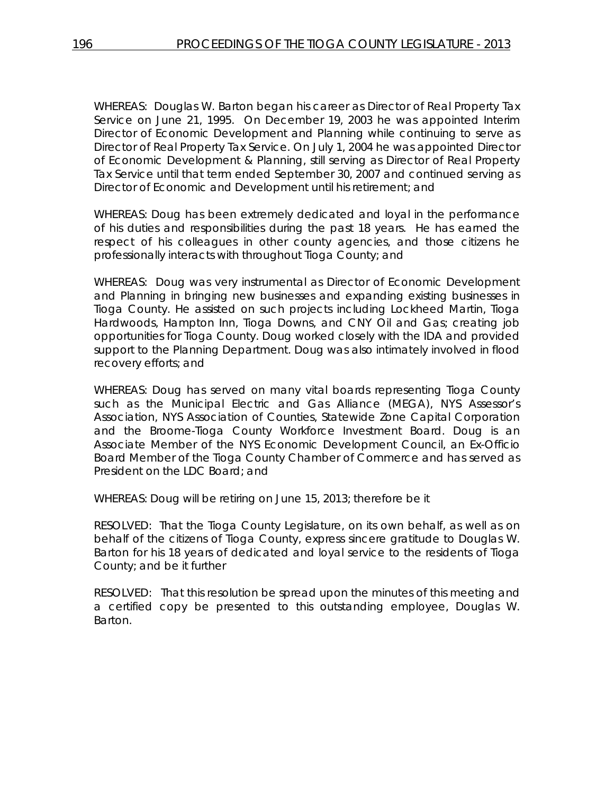WHEREAS: Douglas W. Barton began his career as Director of Real Property Tax Service on June 21, 1995. On December 19, 2003 he was appointed Interim Director of Economic Development and Planning while continuing to serve as Director of Real Property Tax Service. On July 1, 2004 he was appointed Director of Economic Development & Planning, still serving as Director of Real Property Tax Service until that term ended September 30, 2007 and continued serving as Director of Economic and Development until his retirement; and

WHEREAS: Doug has been extremely dedicated and loyal in the performance of his duties and responsibilities during the past 18 years. He has earned the respect of his colleagues in other county agencies, and those citizens he professionally interacts with throughout Tioga County; and

WHEREAS: Doug was very instrumental as Director of Economic Development and Planning in bringing new businesses and expanding existing businesses in Tioga County. He assisted on such projects including Lockheed Martin, Tioga Hardwoods, Hampton Inn, Tioga Downs, and CNY Oil and Gas; creating job opportunities for Tioga County. Doug worked closely with the IDA and provided support to the Planning Department. Doug was also intimately involved in flood recovery efforts; and

WHEREAS: Doug has served on many vital boards representing Tioga County such as the Municipal Electric and Gas Alliance (MEGA), NYS Assessor's Association, NYS Association of Counties, Statewide Zone Capital Corporation and the Broome-Tioga County Workforce Investment Board. Doug is an Associate Member of the NYS Economic Development Council, an Ex-Officio Board Member of the Tioga County Chamber of Commerce and has served as President on the LDC Board; and

WHEREAS: Doug will be retiring on June 15, 2013; therefore be it

RESOLVED: That the Tioga County Legislature, on its own behalf, as well as on behalf of the citizens of Tioga County, express sincere gratitude to Douglas W. Barton for his 18 years of dedicated and loyal service to the residents of Tioga County; and be it further

RESOLVED: That this resolution be spread upon the minutes of this meeting and a certified copy be presented to this outstanding employee, Douglas W. Barton.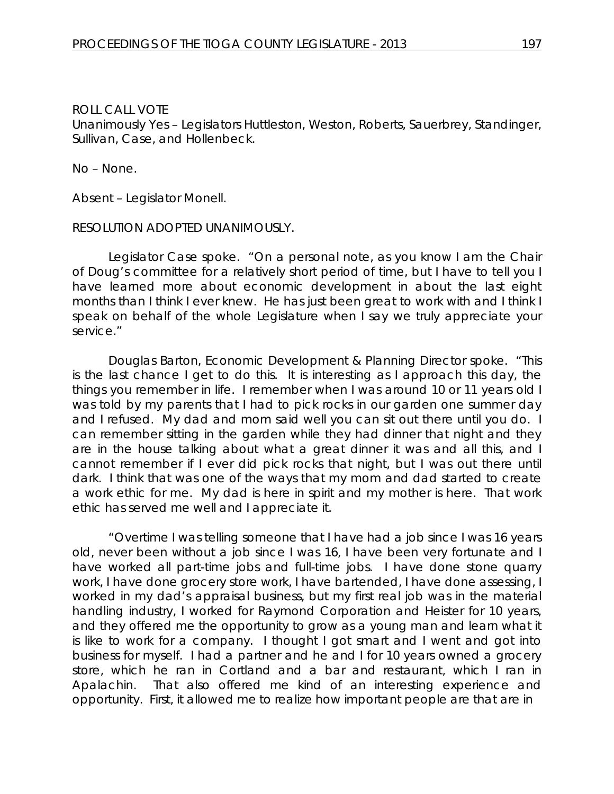Unanimously Yes – Legislators Huttleston, Weston, Roberts, Sauerbrey, Standinger, Sullivan, Case, and Hollenbeck.

No – None.

Absent – Legislator Monell.

#### RESOLUTION ADOPTED UNANIMOUSLY.

Legislator Case spoke. "On a personal note, as you know I am the Chair of Doug's committee for a relatively short period of time, but I have to tell you I have learned more about economic development in about the last eight months than I think I ever knew. He has just been great to work with and I think I speak on behalf of the whole Legislature when I say we truly appreciate your service."

Douglas Barton, Economic Development & Planning Director spoke. "This is the last chance I get to do this. It is interesting as I approach this day, the things you remember in life. I remember when I was around 10 or 11 years old I was told by my parents that I had to pick rocks in our garden one summer day and I refused. My dad and mom said well you can sit out there until you do. I can remember sitting in the garden while they had dinner that night and they are in the house talking about what a great dinner it was and all this, and I cannot remember if I ever did pick rocks that night, but I was out there until dark. I think that was one of the ways that my mom and dad started to create a work ethic for me. My dad is here in spirit and my mother is here. That work ethic has served me well and I appreciate it.

"Overtime I was telling someone that I have had a job since I was 16 years old, never been without a job since I was 16, I have been very fortunate and I have worked all part-time jobs and full-time jobs. I have done stone quarry work, I have done grocery store work, I have bartended, I have done assessing, I worked in my dad's appraisal business, but my first real job was in the material handling industry, I worked for Raymond Corporation and Heister for 10 years, and they offered me the opportunity to grow as a young man and learn what it is like to work for a company. I thought I got smart and I went and got into business for myself. I had a partner and he and I for 10 years owned a grocery store, which he ran in Cortland and a bar and restaurant, which I ran in Apalachin. That also offered me kind of an interesting experience and opportunity. First, it allowed me to realize how important people are that are in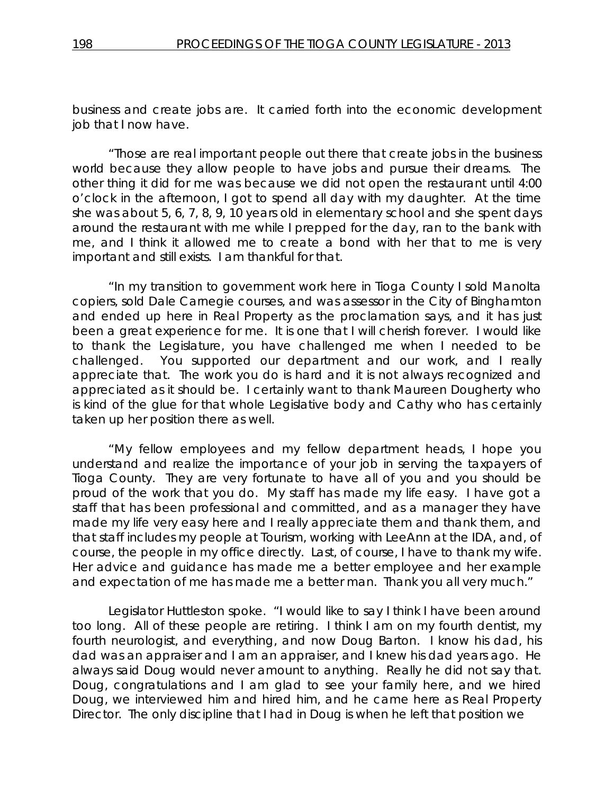business and create jobs are. It carried forth into the economic development job that I now have.

"Those are real important people out there that create jobs in the business world because they allow people to have jobs and pursue their dreams. The other thing it did for me was because we did not open the restaurant until 4:00 o'clock in the afternoon, I got to spend all day with my daughter. At the time she was about 5, 6, 7, 8, 9, 10 years old in elementary school and she spent days around the restaurant with me while I prepped for the day, ran to the bank with me, and I think it allowed me to create a bond with her that to me is very important and still exists. I am thankful for that.

"In my transition to government work here in Tioga County I sold Manolta copiers, sold Dale Carnegie courses, and was assessor in the City of Binghamton and ended up here in Real Property as the proclamation says, and it has just been a great experience for me. It is one that I will cherish forever. I would like to thank the Legislature, you have challenged me when I needed to be challenged. You supported our department and our work, and I really appreciate that. The work you do is hard and it is not always recognized and appreciated as it should be. I certainly want to thank Maureen Dougherty who is kind of the glue for that whole Legislative body and Cathy who has certainly taken up her position there as well.

"My fellow employees and my fellow department heads, I hope you understand and realize the importance of your job in serving the taxpayers of Tioga County. They are very fortunate to have all of you and you should be proud of the work that you do. My staff has made my life easy. I have got a staff that has been professional and committed, and as a manager they have made my life very easy here and I really appreciate them and thank them, and that staff includes my people at Tourism, working with LeeAnn at the IDA, and, of course, the people in my office directly. Last, of course, I have to thank my wife. Her advice and guidance has made me a better employee and her example and expectation of me has made me a better man. Thank you all very much."

Legislator Huttleston spoke. "I would like to say I think I have been around too long. All of these people are retiring. I think I am on my fourth dentist, my fourth neurologist, and everything, and now Doug Barton. I know his dad, his dad was an appraiser and I am an appraiser, and I knew his dad years ago. He always said Doug would never amount to anything. Really he did not say that. Doug, congratulations and I am glad to see your family here, and we hired Doug, we interviewed him and hired him, and he came here as Real Property Director. The only discipline that I had in Doug is when he left that position we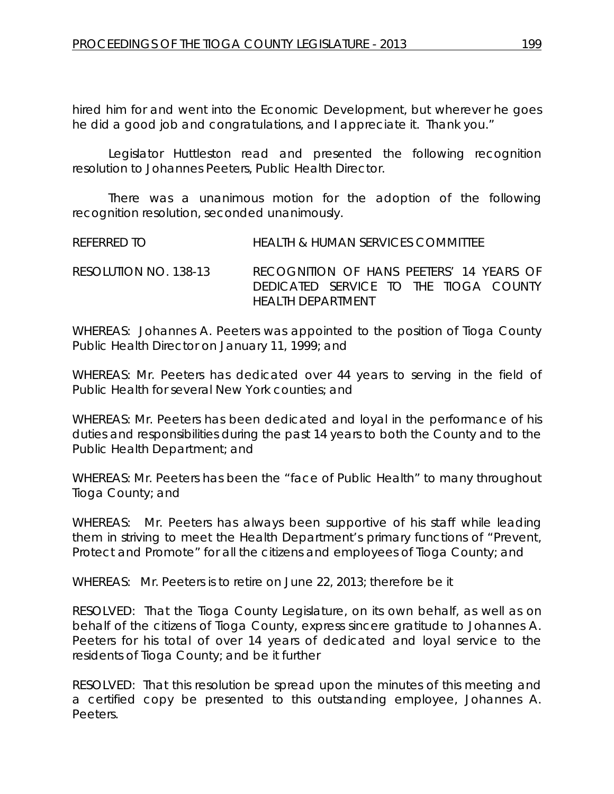hired him for and went into the Economic Development, but wherever he goes he did a good job and congratulations, and I appreciate it. Thank you."

Legislator Huttleston read and presented the following recognition resolution to Johannes Peeters, Public Health Director.

There was a unanimous motion for the adoption of the following recognition resolution, seconded unanimously.

REFERRED TO HEALTH & HUMAN SERVICES COMMITTEE

RESOLUTION NO. 138-13 *RECOGNITION OF HANS PEETERS' 14 YEARS OF DEDICATED SERVICE TO THE TIOGA COUNTY HEALTH DEPARTMENT*

WHEREAS: Johannes A. Peeters was appointed to the position of Tioga County Public Health Director on January 11, 1999; and

WHEREAS: Mr. Peeters has dedicated over 44 years to serving in the field of Public Health for several New York counties; and

WHEREAS: Mr. Peeters has been dedicated and loyal in the performance of his duties and responsibilities during the past 14 years to both the County and to the Public Health Department; and

WHEREAS: Mr. Peeters has been the "face of Public Health" to many throughout Tioga County; and

WHEREAS: Mr. Peeters has always been supportive of his staff while leading them in striving to meet the Health Department's primary functions of "Prevent, Protect and Promote" for all the citizens and employees of Tioga County; and

WHEREAS: Mr. Peeters is to retire on June 22, 2013; therefore be it

RESOLVED: That the Tioga County Legislature, on its own behalf, as well as on behalf of the citizens of Tioga County, express sincere gratitude to Johannes A. Peeters for his total of over 14 years of dedicated and loyal service to the residents of Tioga County; and be it further

RESOLVED: That this resolution be spread upon the minutes of this meeting and a certified copy be presented to this outstanding employee, Johannes A. Peeters.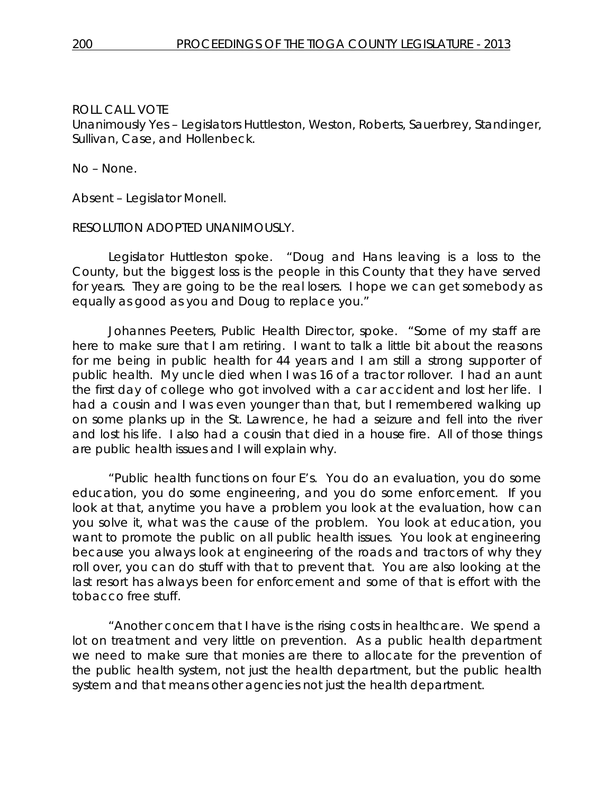Unanimously Yes – Legislators Huttleston, Weston, Roberts, Sauerbrey, Standinger, Sullivan, Case, and Hollenbeck.

#### No – None.

Absent – Legislator Monell.

### RESOLUTION ADOPTED UNANIMOUSLY.

Legislator Huttleston spoke. "Doug and Hans leaving is a loss to the County, but the biggest loss is the people in this County that they have served for years. They are going to be the real losers. I hope we can get somebody as equally as good as you and Doug to replace you."

Johannes Peeters, Public Health Director, spoke. "Some of my staff are here to make sure that I am retiring. I want to talk a little bit about the reasons for me being in public health for 44 years and I am still a strong supporter of public health. My uncle died when I was 16 of a tractor rollover. I had an aunt the first day of college who got involved with a car accident and lost her life. I had a cousin and I was even younger than that, but I remembered walking up on some planks up in the St. Lawrence, he had a seizure and fell into the river and lost his life. I also had a cousin that died in a house fire. All of those things are public health issues and I will explain why.

"Public health functions on four E's. You do an evaluation, you do some education, you do some engineering, and you do some enforcement. If you look at that, anytime you have a problem you look at the evaluation, how can you solve it, what was the cause of the problem. You look at education, you want to promote the public on all public health issues. You look at engineering because you always look at engineering of the roads and tractors of why they roll over, you can do stuff with that to prevent that. You are also looking at the last resort has always been for enforcement and some of that is effort with the tobacco free stuff.

"Another concern that I have is the rising costs in healthcare. We spend a lot on treatment and very little on prevention. As a public health department we need to make sure that monies are there to allocate for the prevention of the public health system, not just the health department, but the public health system and that means other agencies not just the health department.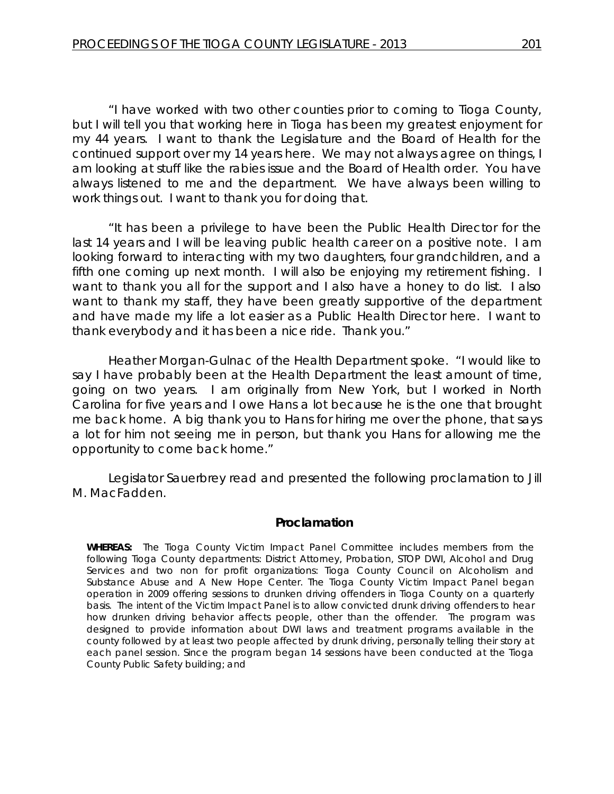"I have worked with two other counties prior to coming to Tioga County, but I will tell you that working here in Tioga has been my greatest enjoyment for my 44 years. I want to thank the Legislature and the Board of Health for the continued support over my 14 years here. We may not always agree on things, I am looking at stuff like the rabies issue and the Board of Health order. You have always listened to me and the department. We have always been willing to work things out. I want to thank you for doing that.

"It has been a privilege to have been the Public Health Director for the last 14 years and I will be leaving public health career on a positive note. I am looking forward to interacting with my two daughters, four grandchildren, and a fifth one coming up next month. I will also be enjoying my retirement fishing. I want to thank you all for the support and I also have a honey to do list. I also want to thank my staff, they have been greatly supportive of the department and have made my life a lot easier as a Public Health Director here. I want to thank everybody and it has been a nice ride. Thank you."

Heather Morgan-Gulnac of the Health Department spoke. "I would like to say I have probably been at the Health Department the least amount of time, going on two years. I am originally from New York, but I worked in North Carolina for five years and I owe Hans a lot because he is the one that brought me back home. A big thank you to Hans for hiring me over the phone, that says a lot for him not seeing me in person, but thank you Hans for allowing me the opportunity to come back home."

Legislator Sauerbrey read and presented the following proclamation to Jill M. MacFadden.

#### *Proclamation*

**WHEREAS:** The Tioga County Victim Impact Panel Committee includes members from the following Tioga County departments: District Attorney, Probation, STOP DWI, Alcohol and Drug Services and two non for profit organizations: Tioga County Council on Alcoholism and Substance Abuse and A New Hope Center. The Tioga County Victim Impact Panel began operation in 2009 offering sessions to drunken driving offenders in Tioga County on a quarterly basis. The intent of the Victim Impact Panel is to allow convicted drunk driving offenders to hear how drunken driving behavior affects people, other than the offender. The program was designed to provide information about DWI laws and treatment programs available in the county followed by at least two people affected by drunk driving, personally telling their story at each panel session. Since the program began 14 sessions have been conducted at the Tioga County Public Safety building; and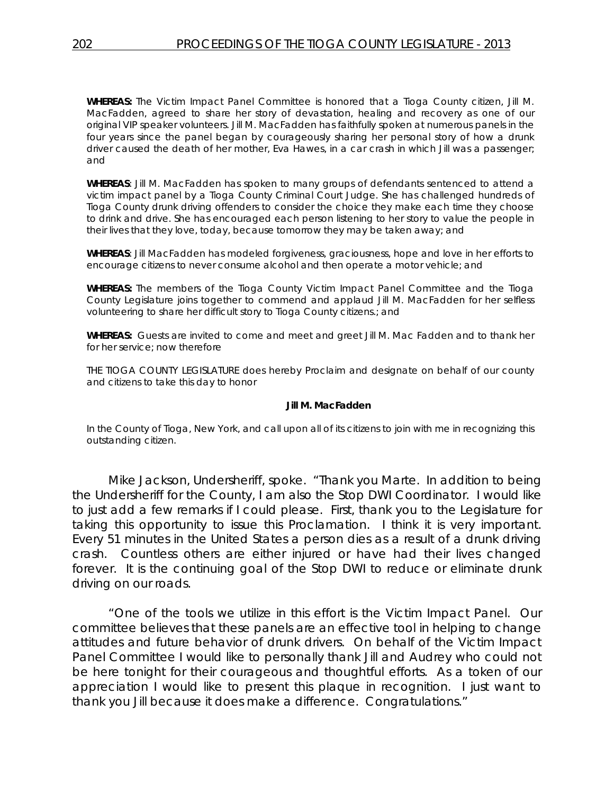**WHEREAS:** The Victim Impact Panel Committee is honored that a Tioga County citizen, Jill M. MacFadden, agreed to share her story of devastation, healing and recovery as one of our original VIP speaker volunteers. Jill M. MacFadden has faithfully spoken at numerous panels in the four years since the panel began by courageously sharing her personal story of how a drunk driver caused the death of her mother, Eva Hawes, in a car crash in which Jill was a passenger; and

**WHEREAS**: Jill M. MacFadden has spoken to many groups of defendants sentenced to attend a victim impact panel by a Tioga County Criminal Court Judge. She has challenged hundreds of Tioga County drunk driving offenders to consider the choice they make each time they choose to drink and drive. She has encouraged each person listening to her story to value the people in their lives that they love, today, because tomorrow they may be taken away; and

**WHEREAS**: Jill MacFadden has modeled forgiveness, graciousness, hope and love in her efforts to encourage citizens to never consume alcohol and then operate a motor vehicle; and

**WHEREAS:** The members of the Tioga County Victim Impact Panel Committee and the Tioga County Legislature joins together to commend and applaud Jill M. MacFadden for her selfless volunteering to share her difficult story to Tioga County citizens.; and

**WHEREAS:** Guests are invited to come and meet and greet Jill M. Mac Fadden and to thank her for her service; now therefore

THE TIOGA COUNTY LEGISLATURE does hereby Proclaim and designate on behalf of our county and citizens to take this day to honor

#### **Jill M. MacFadden**

In the County of Tioga, New York, and call upon all of its citizens to join with me in recognizing this outstanding citizen.

Mike Jackson, Undersheriff, spoke. "Thank you Marte. In addition to being the Undersheriff for the County, I am also the Stop DWI Coordinator. I would like to just add a few remarks if I could please. First, thank you to the Legislature for taking this opportunity to issue this Proclamation. I think it is very important. Every 51 minutes in the United States a person dies as a result of a drunk driving crash. Countless others are either injured or have had their lives changed forever. It is the continuing goal of the Stop DWI to reduce or eliminate drunk driving on our roads.

"One of the tools we utilize in this effort is the Victim Impact Panel. Our committee believes that these panels are an effective tool in helping to change attitudes and future behavior of drunk drivers. On behalf of the Victim Impact Panel Committee I would like to personally thank Jill and Audrey who could not be here tonight for their courageous and thoughtful efforts. As a token of our appreciation I would like to present this plaque in recognition. I just want to thank you Jill because it does make a difference. Congratulations."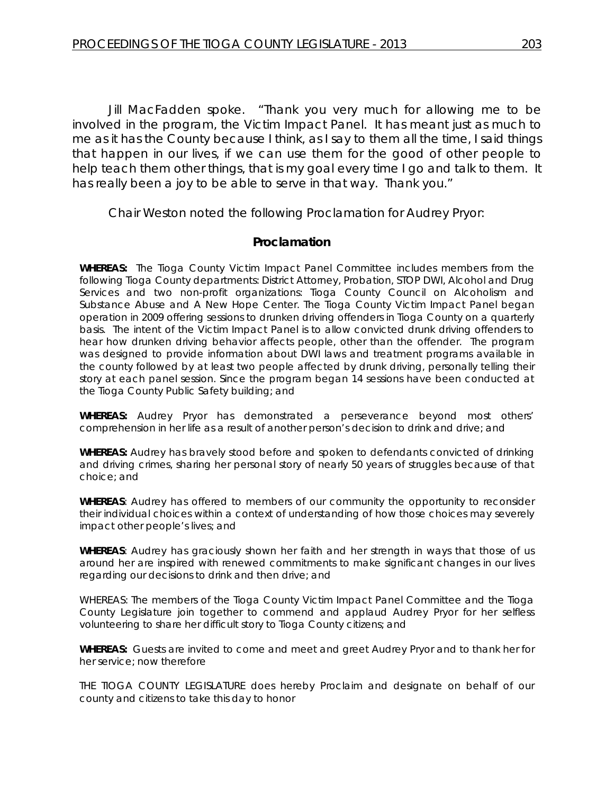Jill MacFadden spoke. "Thank you very much for allowing me to be involved in the program, the Victim Impact Panel. It has meant just as much to me as it has the County because I think, as I say to them all the time, I said things that happen in our lives, if we can use them for the good of other people to help teach them other things, that is my goal every time I go and talk to them. It has really been a joy to be able to serve in that way. Thank you."

Chair Weston noted the following Proclamation for Audrey Pryor:

# *Proclamation*

**WHEREAS:** The Tioga County Victim Impact Panel Committee includes members from the following Tioga County departments: District Attorney, Probation, STOP DWI, Alcohol and Drug Services and two non-profit organizations: Tioga County Council on Alcoholism and Substance Abuse and A New Hope Center. The Tioga County Victim Impact Panel began operation in 2009 offering sessions to drunken driving offenders in Tioga County on a quarterly basis. The intent of the Victim Impact Panel is to allow convicted drunk driving offenders to hear how drunken driving behavior affects people, other than the offender. The program was designed to provide information about DWI laws and treatment programs available in the county followed by at least two people affected by drunk driving, personally telling their story at each panel session. Since the program began 14 sessions have been conducted at the Tioga County Public Safety building; and

**WHEREAS:** Audrey Pryor has demonstrated a perseverance beyond most others' comprehension in her life as a result of another person's decision to drink and drive; and

**WHEREAS:** Audrey has bravely stood before and spoken to defendants convicted of drinking and driving crimes, sharing her personal story of nearly 50 years of struggles because of that choice; and

**WHEREAS**: Audrey has offered to members of our community the opportunity to reconsider their individual choices within a context of understanding of how those choices may severely impact other people's lives; and

**WHEREAS**: Audrey has graciously shown her faith and her strength in ways that those of us around her are inspired with renewed commitments to make significant changes in our lives regarding our decisions to drink and then drive; and

WHEREAS: The members of the Tioga County Victim Impact Panel Committee and the Tioga County Legislature join together to commend and applaud Audrey Pryor for her selfless volunteering to share her difficult story to Tioga County citizens; and

**WHEREAS:** Guests are invited to come and meet and greet Audrey Pryor and to thank her for her service; now therefore

THE TIOGA COUNTY LEGISLATURE does hereby Proclaim and designate on behalf of our county and citizens to take this day to honor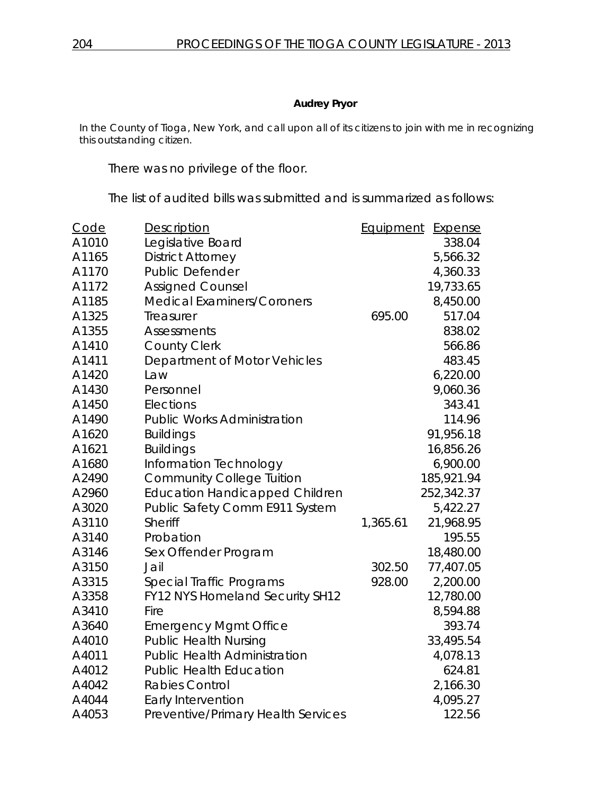### **Audrey Pryor**

In the County of Tioga, New York, and call upon all of its citizens to join with me in recognizing this outstanding citizen.

There was no privilege of the floor.

The list of audited bills was submitted and is summarized as follows:

| Code  | Description                           | <b>Equipment</b> | <b>Expense</b> |
|-------|---------------------------------------|------------------|----------------|
| A1010 | Legislative Board                     |                  | 338.04         |
| A1165 | <b>District Attorney</b>              |                  | 5,566.32       |
| A1170 | <b>Public Defender</b>                |                  | 4,360.33       |
| A1172 | <b>Assigned Counsel</b>               |                  | 19,733.65      |
| A1185 | <b>Medical Examiners/Coroners</b>     |                  | 8,450.00       |
| A1325 | Treasurer                             | 695.00           | 517.04         |
| A1355 | <b>Assessments</b>                    |                  | 838.02         |
| A1410 | <b>County Clerk</b>                   |                  | 566.86         |
| A1411 | Department of Motor Vehicles          |                  | 483.45         |
| A1420 | Law                                   |                  | 6,220.00       |
| A1430 | Personnel                             |                  | 9,060.36       |
| A1450 | Elections                             |                  | 343.41         |
| A1490 | <b>Public Works Administration</b>    |                  | 114.96         |
| A1620 | <b>Buildings</b>                      |                  | 91,956.18      |
| A1621 | <b>Buildings</b>                      |                  | 16,856.26      |
| A1680 | Information Technology                |                  | 6,900.00       |
| A2490 | <b>Community College Tuition</b>      |                  | 185,921.94     |
| A2960 | <b>Education Handicapped Children</b> |                  | 252,342.37     |
| A3020 | Public Safety Comm E911 System        |                  | 5,422.27       |
| A3110 | <b>Sheriff</b>                        | 1,365.61         | 21,968.95      |
| A3140 | Probation                             |                  | 195.55         |
| A3146 | Sex Offender Program                  |                  | 18,480.00      |
| A3150 | Jail                                  | 302.50           | 77,407.05      |
| A3315 | Special Traffic Programs              | 928.00           | 2,200.00       |
| A3358 | FY12 NYS Homeland Security SH12       |                  | 12,780.00      |
| A3410 | Fire                                  |                  | 8,594.88       |
| A3640 | <b>Emergency Mgmt Office</b>          |                  | 393.74         |
| A4010 | <b>Public Health Nursing</b>          |                  | 33,495.54      |
| A4011 | <b>Public Health Administration</b>   |                  | 4,078.13       |
| A4012 | <b>Public Health Education</b>        |                  | 624.81         |
| A4042 | <b>Rabies Control</b>                 |                  | 2,166.30       |
| A4044 | Early Intervention                    |                  | 4,095.27       |
| A4053 | Preventive/Primary Health Services    |                  | 122.56         |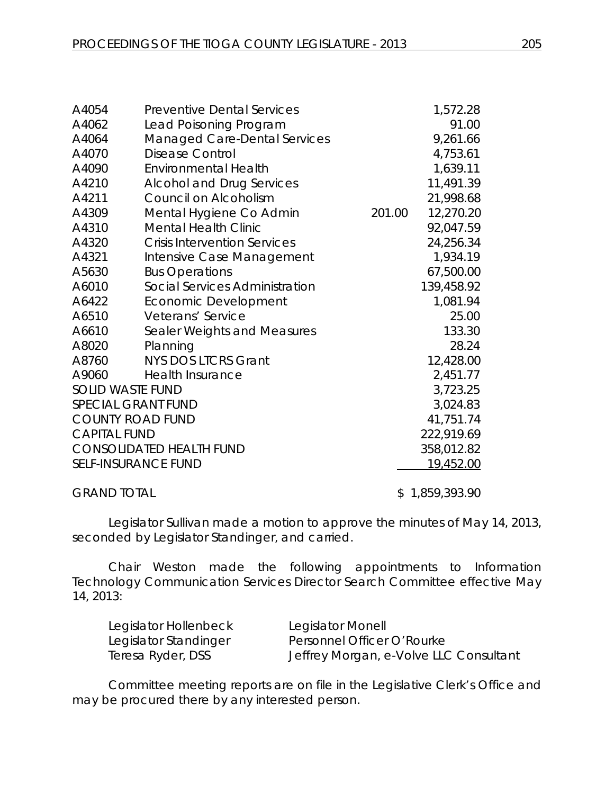| A4054                           | <b>Preventive Dental Services</b>   |        | 1,572.28   |
|---------------------------------|-------------------------------------|--------|------------|
| A4062                           | Lead Poisoning Program              |        | 91.00      |
| A4064                           | <b>Managed Care-Dental Services</b> |        | 9,261.66   |
| A4070                           | <b>Disease Control</b>              |        | 4,753.61   |
| A4090                           | <b>Environmental Health</b>         |        | 1,639.11   |
| A4210                           | <b>Alcohol and Drug Services</b>    |        | 11,491.39  |
| A4211                           | Council on Alcoholism               |        | 21,998.68  |
| A4309                           | Mental Hygiene Co Admin             | 201.00 | 12,270.20  |
| A4310                           | <b>Mental Health Clinic</b>         |        | 92,047.59  |
| A4320                           | <b>Crisis Intervention Services</b> |        | 24,256.34  |
| A4321                           | Intensive Case Management           |        | 1,934.19   |
| A5630                           | <b>Bus Operations</b>               |        | 67,500.00  |
| A6010                           | Social Services Administration      |        | 139,458.92 |
| A6422                           | Economic Development                |        | 1,081.94   |
| A6510                           | Veterans' Service                   |        | 25.00      |
| A6610                           | Sealer Weights and Measures         |        | 133.30     |
| A8020                           | Planning                            |        | 28.24      |
| A8760                           | <b>NYS DOS LTCRS Grant</b>          |        | 12,428.00  |
| A9060                           | <b>Health Insurance</b>             |        | 2,451.77   |
| <b>SOLID WASTE FUND</b>         |                                     |        | 3,723.25   |
| SPECIAL GRANT FUND              |                                     |        | 3,024.83   |
| <b>COUNTY ROAD FUND</b>         |                                     |        | 41,751.74  |
| <b>CAPITAL FUND</b>             |                                     |        | 222,919.69 |
| <b>CONSOLIDATED HEALTH FUND</b> |                                     |        | 358,012.82 |
| <b>SELF-INSURANCE FUND</b>      |                                     |        | 19,452.00  |
|                                 |                                     |        |            |

GRAND TOTAL \$ 1,859,393.90

Legislator Sullivan made a motion to approve the minutes of May 14, 2013, seconded by Legislator Standinger, and carried.

Chair Weston made the following appointments to Information Technology Communication Services Director Search Committee effective May 14, 2013:

| Legislator Hollenbeck | Legislator Monell                      |
|-----------------------|----------------------------------------|
| Legislator Standinger | Personnel Officer O'Rourke             |
| Teresa Ryder, DSS     | Jeffrey Morgan, e-Volve LLC Consultant |

Committee meeting reports are on file in the Legislative Clerk's Office and may be procured there by any interested person.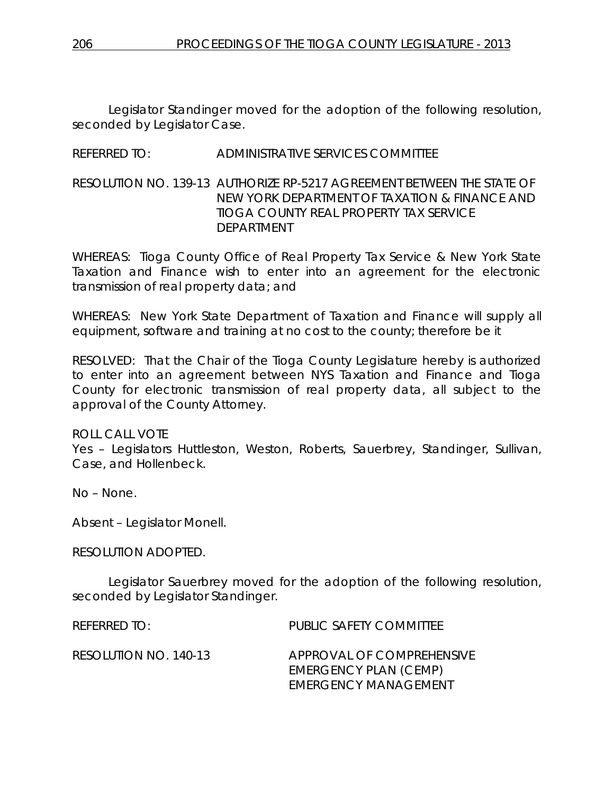Legislator Standinger moved for the adoption of the following resolution, seconded by Legislator Case.

# REFERRED TO: ADMINISTRATIVE SERVICES COMMITTEE

RESOLUTION NO. 139-13 *AUTHORIZE RP-5217 AGREEMENT BETWEEN THE STATE OF NEW YORK DEPARTMENT OF TAXATION & FINANCE AND TIOGA COUNTY REAL PROPERTY TAX SERVICE DEPARTMENT*

WHEREAS: Tioga County Office of Real Property Tax Service & New York State Taxation and Finance wish to enter into an agreement for the electronic transmission of real property data; and

WHEREAS: New York State Department of Taxation and Finance will supply all equipment, software and training at no cost to the county; therefore be it

RESOLVED: That the Chair of the Tioga County Legislature hereby is authorized to enter into an agreement between NYS Taxation and Finance and Tioga County for electronic transmission of real property data, all subject to the approval of the County Attorney.

#### ROLL CALL VOTE

Yes – Legislators Huttleston, Weston, Roberts, Sauerbrey, Standinger, Sullivan, Case, and Hollenbeck.

No – None.

Absent – Legislator Monell.

RESOLUTION ADOPTED.

Legislator Sauerbrey moved for the adoption of the following resolution, seconded by Legislator Standinger.

REFERRED TO: PUBLIC SAFETY COMMITTEE

RESOLUTION NO. 140-13 *APPROVAL OF COMPREHENSIVE EMERGENCY PLAN (CEMP) EMERGENCY MANAGEMENT*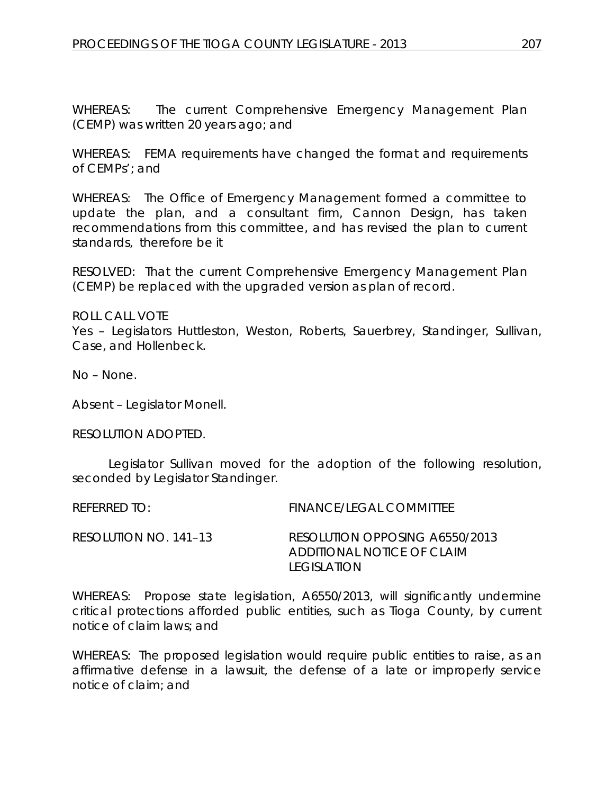WHEREAS: The current Comprehensive Emergency Management Plan (CEMP) was written 20 years ago; and

WHEREAS: FEMA requirements have changed the format and requirements of CEMPs'; and

WHEREAS: The Office of Emergency Management formed a committee to update the plan, and a consultant firm, Cannon Design, has taken recommendations from this committee, and has revised the plan to current standards, therefore be it

RESOLVED: That the current Comprehensive Emergency Management Plan (CEMP) be replaced with the upgraded version as plan of record.

ROLL CALL VOTE Yes – Legislators Huttleston, Weston, Roberts, Sauerbrey, Standinger, Sullivan, Case, and Hollenbeck.

No – None.

Absent – Legislator Monell.

RESOLUTION ADOPTED.

Legislator Sullivan moved for the adoption of the following resolution, seconded by Legislator Standinger.

REFERRED TO: FINANCE/LEGAL COMMITTEE RESOLUTION NO. 141–13 *RESOLUTION OPPOSING A6550/2013 ADDITIONAL NOTICE OF CLAIM LEGISLATION*

WHEREAS: Propose state legislation, A6550/2013, will significantly undermine critical protections afforded public entities, such as Tioga County, by current notice of claim laws; and

WHEREAS: The proposed legislation would require public entities to raise, as an affirmative defense in a lawsuit, the defense of a late or improperly service notice of claim; and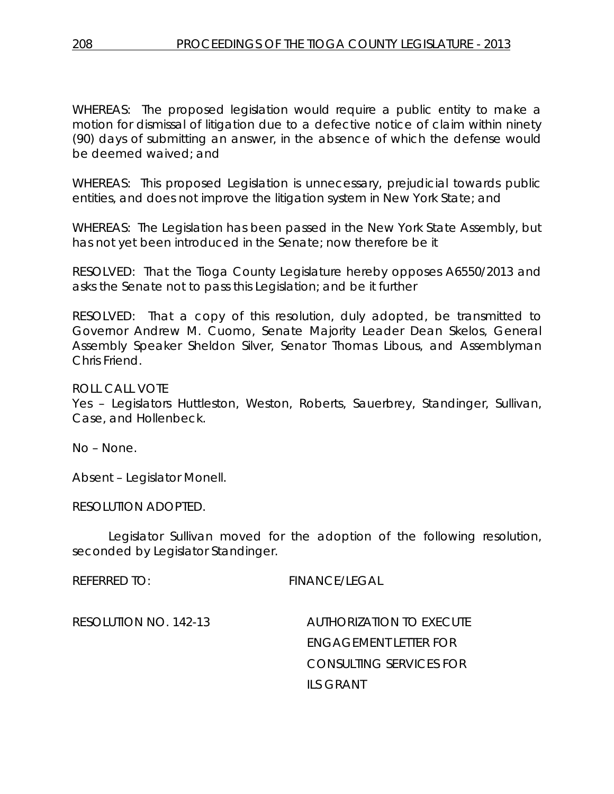WHEREAS: The proposed legislation would require a public entity to make a motion for dismissal of litigation due to a defective notice of claim within ninety (90) days of submitting an answer, in the absence of which the defense would be deemed waived; and

WHEREAS: This proposed Legislation is unnecessary, prejudicial towards public entities, and does not improve the litigation system in New York State; and

WHEREAS: The Legislation has been passed in the New York State Assembly, but has not yet been introduced in the Senate; now therefore be it

RESOLVED: That the Tioga County Legislature hereby opposes A6550/2013 and asks the Senate not to pass this Legislation; and be it further

RESOLVED: That a copy of this resolution, duly adopted, be transmitted to Governor Andrew M. Cuomo, Senate Majority Leader Dean Skelos, General Assembly Speaker Sheldon Silver, Senator Thomas Libous, and Assemblyman Chris Friend.

ROLL CALL VOTE Yes – Legislators Huttleston, Weston, Roberts, Sauerbrey, Standinger, Sullivan, Case, and Hollenbeck.

No – None.

Absent – Legislator Monell.

RESOLUTION ADOPTED.

Legislator Sullivan moved for the adoption of the following resolution, seconded by Legislator Standinger.

REFERRED TO: FINANCE/LEGAL

RESOLUTION NO. 142-13 *AUTHORIZATION TO EXECUTE ENGAGEMENT LETTER FOR CONSULTING SERVICES FOR ILS GRANT*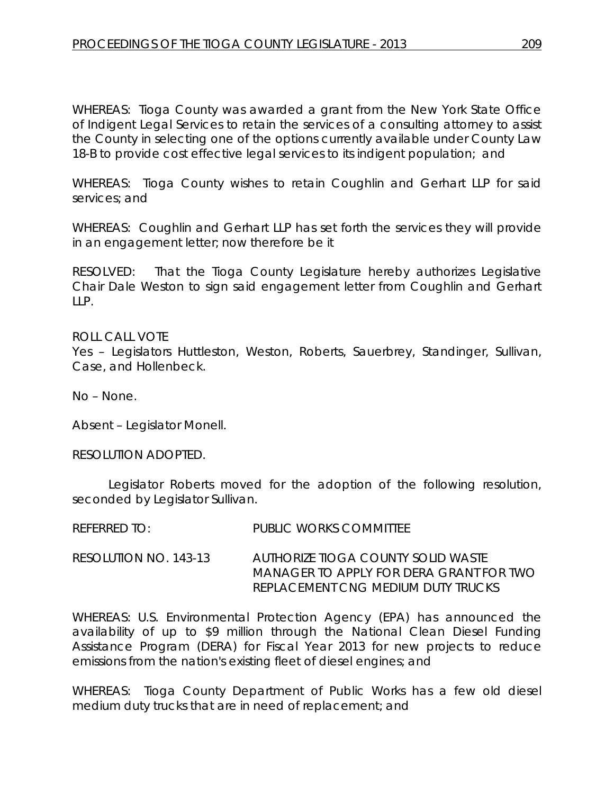WHEREAS: Tioga County was awarded a grant from the New York State Office of Indigent Legal Services to retain the services of a consulting attorney to assist the County in selecting one of the options currently available under County Law 18-B to provide cost effective legal services to its indigent population; and

WHEREAS: Tioga County wishes to retain Coughlin and Gerhart LLP for said services; and

WHEREAS: Coughlin and Gerhart LLP has set forth the services they will provide in an engagement letter; now therefore be it

RESOLVED: That the Tioga County Legislature hereby authorizes Legislative Chair Dale Weston to sign said engagement letter from Coughlin and Gerhart LLP.

ROLL CALL VOTE Yes – Legislators Huttleston, Weston, Roberts, Sauerbrey, Standinger, Sullivan, Case, and Hollenbeck.

No – None.

Absent – Legislator Monell.

RESOLUTION ADOPTED.

Legislator Roberts moved for the adoption of the following resolution, seconded by Legislator Sullivan.

| <b>REFERRED TO:</b> | <b>PUBLIC WORKS COMMITTEE</b> |
|---------------------|-------------------------------|
|                     |                               |

RESOLUTION NO. 143-13 *AUTHORIZE TIOGA COUNTY SOLID WASTE MANAGER TO APPLY FOR DERA GRANT FOR TWO REPLACEMENT CNG MEDIUM DUTY TRUCKS*

WHEREAS: U.S. Environmental Protection Agency (EPA) has announced the availability of up to \$9 million through the National Clean Diesel Funding Assistance Program (DERA) for Fiscal Year 2013 for new projects to reduce emissions from the nation's existing fleet of diesel engines; and

WHEREAS: Tioga County Department of Public Works has a few old diesel medium duty trucks that are in need of replacement; and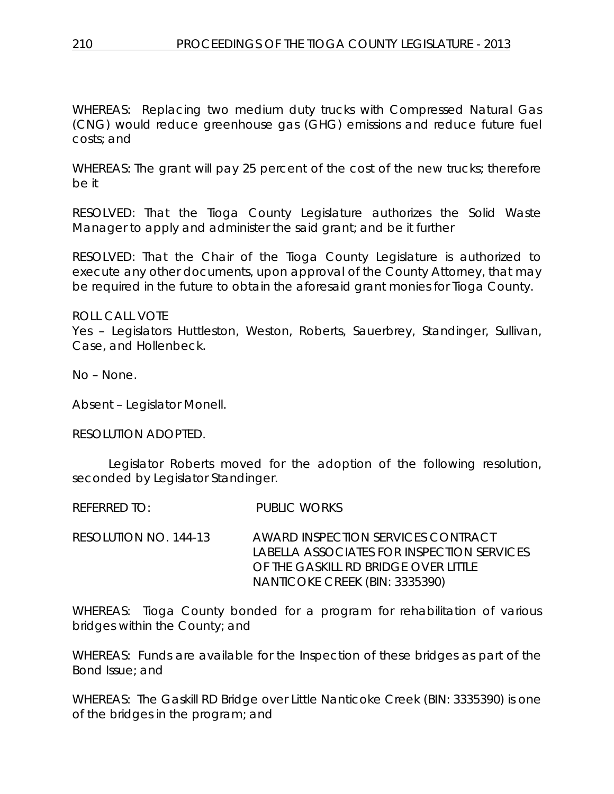WHEREAS: Replacing two medium duty trucks with Compressed Natural Gas (CNG) would reduce greenhouse gas (GHG) emissions and reduce future fuel costs; and

WHEREAS: The grant will pay 25 percent of the cost of the new trucks; therefore be it

RESOLVED: That the Tioga County Legislature authorizes the Solid Waste Manager to apply and administer the said grant; and be it further

RESOLVED: That the Chair of the Tioga County Legislature is authorized to execute any other documents, upon approval of the County Attorney, that may be required in the future to obtain the aforesaid grant monies for Tioga County.

ROLL CALL VOTE Yes – Legislators Huttleston, Weston, Roberts, Sauerbrey, Standinger, Sullivan, Case, and Hollenbeck.

No – None.

Absent – Legislator Monell.

RESOLUTION ADOPTED.

Legislator Roberts moved for the adoption of the following resolution, seconded by Legislator Standinger.

REFERRED TO: PUBLIC WORKS

RESOLUTION NO. 144-13 *AWARD INSPECTION SERVICES CONTRACT LABELLA ASSOCIATES FOR INSPECTION SERVICES OF THE GASKILL RD BRIDGE OVER LITTLE NANTICOKE CREEK (BIN: 3335390)* 

WHEREAS: Tioga County bonded for a program for rehabilitation of various bridges within the County; and

WHEREAS: Funds are available for the Inspection of these bridges as part of the Bond Issue; and

WHEREAS: The Gaskill RD Bridge over Little Nanticoke Creek (BIN: 3335390) is one of the bridges in the program; and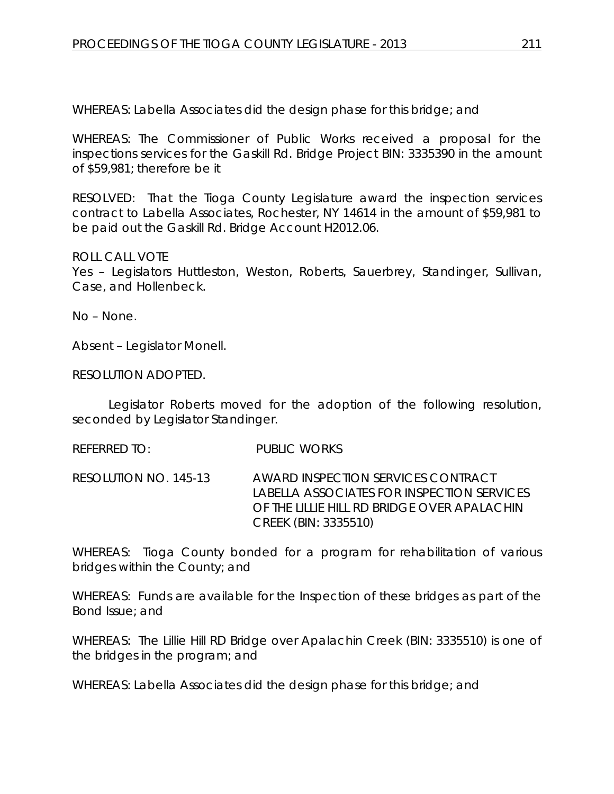WHEREAS: Labella Associates did the design phase for this bridge; and

WHEREAS: The Commissioner of Public Works received a proposal for the inspections services for the Gaskill Rd. Bridge Project BIN: 3335390 in the amount of \$59,981; therefore be it

RESOLVED: That the Tioga County Legislature award the inspection services contract to Labella Associates, Rochester, NY 14614 in the amount of \$59,981 to be paid out the Gaskill Rd. Bridge Account H2012.06.

#### ROLL CALL VOTE

Yes – Legislators Huttleston, Weston, Roberts, Sauerbrey, Standinger, Sullivan, Case, and Hollenbeck.

No – None.

Absent – Legislator Monell.

RESOLUTION ADOPTED.

Legislator Roberts moved for the adoption of the following resolution, seconded by Legislator Standinger.

REFERRED TO: PUBLIC WORKS

RESOLUTION NO. 145-13 *AWARD INSPECTION SERVICES CONTRACT LABELLA ASSOCIATES FOR INSPECTION SERVICES OF THE LILLIE HILL RD BRIDGE OVER APALACHIN CREEK (BIN: 3335510)* 

WHEREAS: Tioga County bonded for a program for rehabilitation of various bridges within the County; and

WHEREAS: Funds are available for the Inspection of these bridges as part of the Bond Issue; and

WHEREAS: The Lillie Hill RD Bridge over Apalachin Creek (BIN: 3335510) is one of the bridges in the program; and

WHEREAS: Labella Associates did the design phase for this bridge; and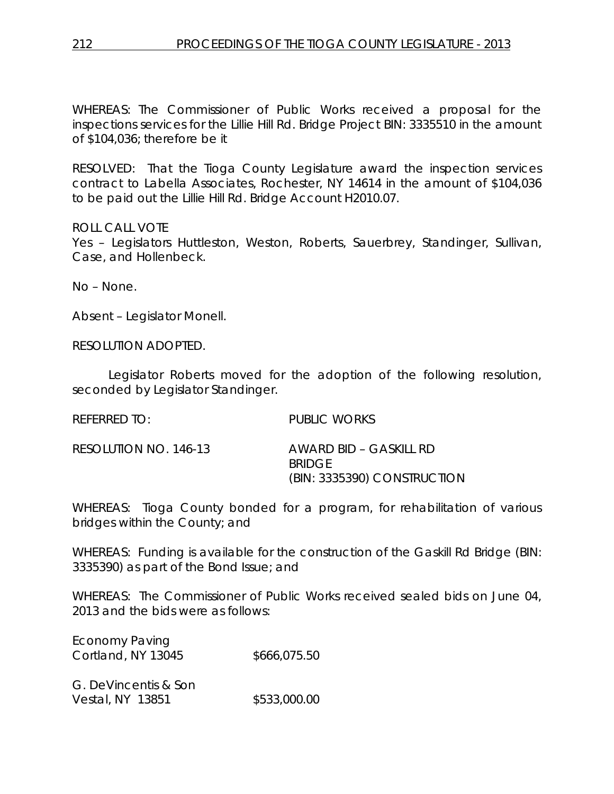WHEREAS: The Commissioner of Public Works received a proposal for the inspections services for the Lillie Hill Rd. Bridge Project BIN: 3335510 in the amount of \$104,036; therefore be it

RESOLVED: That the Tioga County Legislature award the inspection services contract to Labella Associates, Rochester, NY 14614 in the amount of \$104,036 to be paid out the Lillie Hill Rd. Bridge Account H2010.07.

ROLL CALL VOTE

Yes – Legislators Huttleston, Weston, Roberts, Sauerbrey, Standinger, Sullivan, Case, and Hollenbeck.

No – None.

Absent – Legislator Monell.

RESOLUTION ADOPTED.

Legislator Roberts moved for the adoption of the following resolution, seconded by Legislator Standinger.

REFERRED TO: PUBLIC WORKS

| RESOLUTION NO. 146-13 | AWARD BID – GASKILL RD      |
|-----------------------|-----------------------------|
|                       | BRIDGE                      |
|                       | (BIN: 3335390) CONSTRUCTION |

WHEREAS: Tioga County bonded for a program, for rehabilitation of various bridges within the County; and

WHEREAS: Funding is available for the construction of the Gaskill Rd Bridge (BIN: 3335390) as part of the Bond Issue; and

WHEREAS: The Commissioner of Public Works received sealed bids on June 04, 2013 and the bids were as follows:

| <b>Economy Paving</b> |              |
|-----------------------|--------------|
| Cortland, NY 13045    | \$666,075.50 |
|                       |              |

G. DeVincentis & Son Vestal, NY 13851 \$533,000.00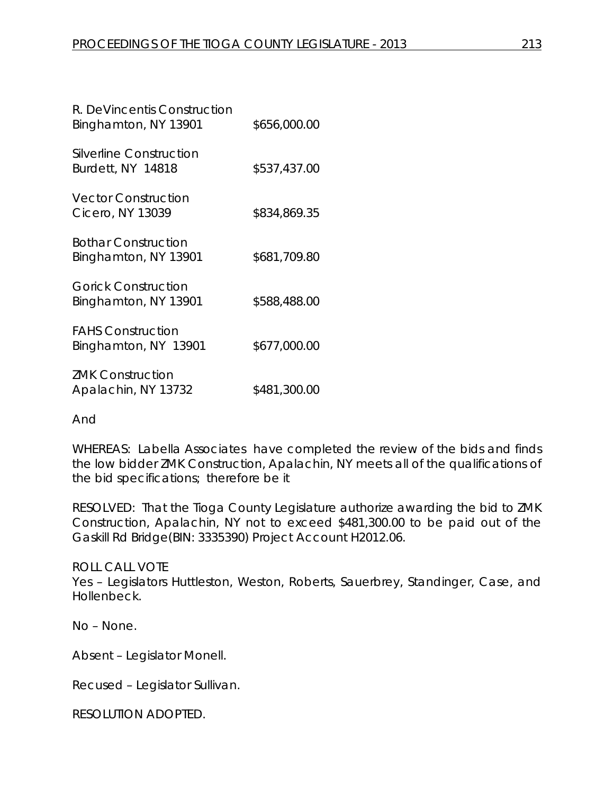| R. DeVincentis Construction<br>Binghamton, NY 13901 | \$656,000.00 |
|-----------------------------------------------------|--------------|
| Silverline Construction<br>Burdett, NY 14818        | \$537,437.00 |
| <b>Vector Construction</b><br>Cicero, NY 13039      | \$834,869.35 |
| <b>Bothar Construction</b><br>Binghamton, NY 13901  | \$681,709.80 |
| <b>Gorick Construction</b><br>Binghamton, NY 13901  | \$588,488.00 |
| <b>FAHS Construction</b><br>Binghamton, NY 13901    | \$677,000.00 |
| <b>ZMK Construction</b><br>Apalachin, NY 13732      | \$481,300.00 |

And

WHEREAS: Labella Associates have completed the review of the bids and finds the low bidder ZMK Construction, Apalachin, NY meets all of the qualifications of the bid specifications; therefore be it

RESOLVED: That the Tioga County Legislature authorize awarding the bid to ZMK Construction, Apalachin, NY not to exceed \$481,300.00 to be paid out of the Gaskill Rd Bridge(BIN: 3335390) Project Account H2012.06.

ROLL CALL VOTE Yes – Legislators Huttleston, Weston, Roberts, Sauerbrey, Standinger, Case, and Hollenbeck.

No – None.

Absent – Legislator Monell.

Recused – Legislator Sullivan.

RESOLUTION ADOPTED.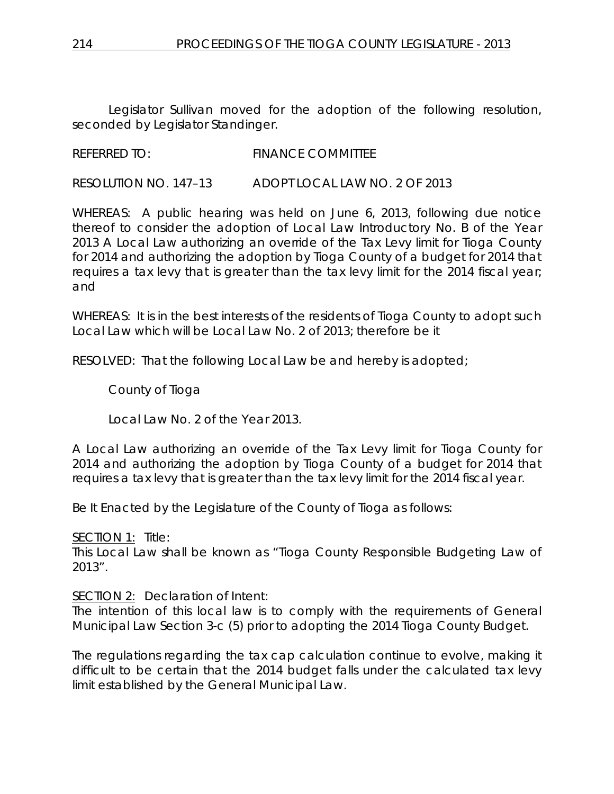Legislator Sullivan moved for the adoption of the following resolution, seconded by Legislator Standinger.

# REFERRED TO: FINANCE COMMITTEE

RESOLUTION NO. 147–13 *ADOPT LOCAL LAW NO. 2 OF 2013*

WHEREAS: A public hearing was held on June 6, 2013, following due notice thereof to consider the adoption of Local Law Introductory No. B of the Year 2013 A Local Law authorizing an override of the Tax Levy limit for Tioga County for 2014 and authorizing the adoption by Tioga County of a budget for 2014 that requires a tax levy that is greater than the tax levy limit for the 2014 fiscal year; and

WHEREAS: It is in the best interests of the residents of Tioga County to adopt such Local Law which will be Local Law No. 2 of 2013; therefore be it

RESOLVED: That the following Local Law be and hereby is adopted;

County of Tioga

Local Law No. 2 of the Year 2013.

A Local Law authorizing an override of the Tax Levy limit for Tioga County for 2014 and authorizing the adoption by Tioga County of a budget for 2014 that requires a tax levy that is greater than the tax levy limit for the 2014 fiscal year.

Be It Enacted by the Legislature of the County of Tioga as follows:

SECTION 1: Title:

This Local Law shall be known as "Tioga County Responsible Budgeting Law of 2013".

#### SECTION 2: Declaration of Intent:

The intention of this local law is to comply with the requirements of General Municipal Law Section 3-c (5) prior to adopting the 2014 Tioga County Budget.

The regulations regarding the tax cap calculation continue to evolve, making it difficult to be certain that the 2014 budget falls under the calculated tax levy limit established by the General Municipal Law.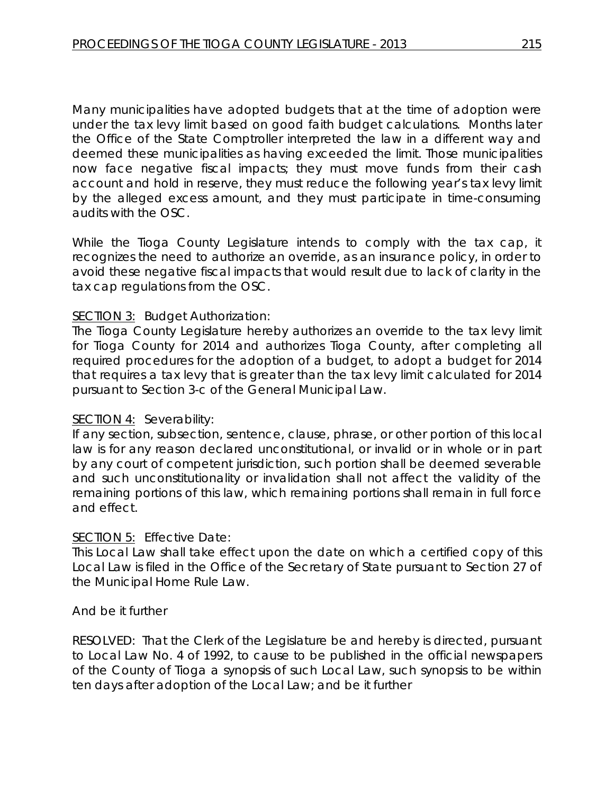Many municipalities have adopted budgets that at the time of adoption were under the tax levy limit based on good faith budget calculations. Months later the Office of the State Comptroller interpreted the law in a different way and deemed these municipalities as having exceeded the limit. Those municipalities now face negative fiscal impacts; they must move funds from their cash account and hold in reserve, they must reduce the following year's tax levy limit by the alleged excess amount, and they must participate in time-consuming audits with the OSC.

While the Tioga County Legislature intends to comply with the tax cap, it recognizes the need to authorize an override, as an insurance policy, in order to avoid these negative fiscal impacts that would result due to lack of clarity in the tax cap regulations from the OSC.

# SECTION 3: Budget Authorization:

The Tioga County Legislature hereby authorizes an override to the tax levy limit for Tioga County for 2014 and authorizes Tioga County, after completing all required procedures for the adoption of a budget, to adopt a budget for 2014 that requires a tax levy that is greater than the tax levy limit calculated for 2014 pursuant to Section 3-c of the General Municipal Law.

#### SECTION 4: Severability:

If any section, subsection, sentence, clause, phrase, or other portion of this local law is for any reason declared unconstitutional, or invalid or in whole or in part by any court of competent jurisdiction, such portion shall be deemed severable and such unconstitutionality or invalidation shall not affect the validity of the remaining portions of this law, which remaining portions shall remain in full force and effect.

#### SECTION 5: Effective Date:

This Local Law shall take effect upon the date on which a certified copy of this Local Law is filed in the Office of the Secretary of State pursuant to Section 27 of the Municipal Home Rule Law.

# And be it further

RESOLVED: That the Clerk of the Legislature be and hereby is directed, pursuant to Local Law No. 4 of 1992, to cause to be published in the official newspapers of the County of Tioga a synopsis of such Local Law, such synopsis to be within ten days after adoption of the Local Law; and be it further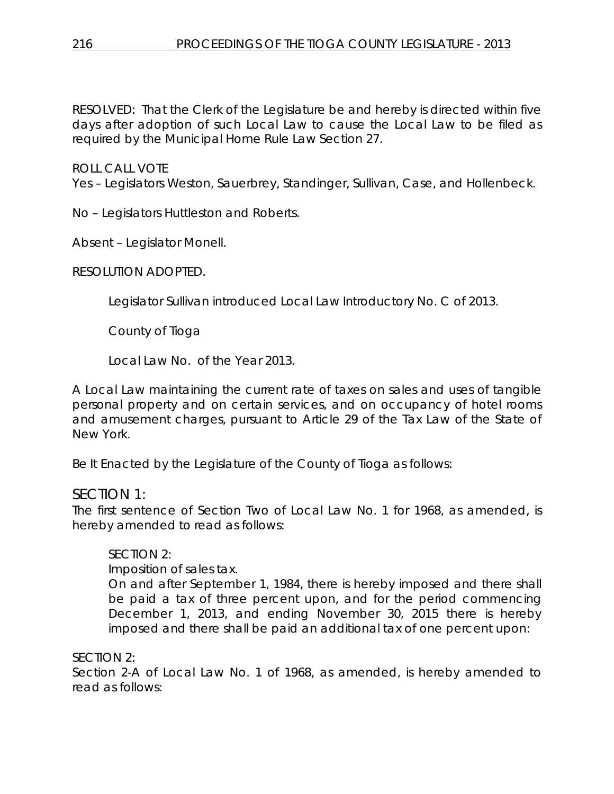RESOLVED: That the Clerk of the Legislature be and hereby is directed within five days after adoption of such Local Law to cause the Local Law to be filed as required by the Municipal Home Rule Law Section 27.

ROLL CALL VOTE

Yes – Legislators Weston, Sauerbrey, Standinger, Sullivan, Case, and Hollenbeck.

No – Legislators Huttleston and Roberts.

Absent – Legislator Monell.

RESOLUTION ADOPTED.

Legislator Sullivan introduced Local Law Introductory No. C of 2013.

County of Tioga

Local Law No. of the Year 2013.

A Local Law maintaining the current rate of taxes on sales and uses of tangible personal property and on certain services, and on occupancy of hotel rooms and amusement charges, pursuant to Article 29 of the Tax Law of the State of New York.

Be It Enacted by the Legislature of the County of Tioga as follows:

# *SECTION 1:*

The first sentence of Section Two of Local Law No. 1 for 1968, as amended, is hereby amended to read as follows:

#### SECTION 2:

Imposition of sales tax.

On and after September 1, 1984, there is hereby imposed and there shall be paid a tax of three percent upon, and for the period commencing December 1, 2013, and ending November 30, 2015 there is hereby imposed and there shall be paid an additional tax of one percent upon:

SECTION 2:

Section 2-A of Local Law No. 1 of 1968, as amended, is hereby amended to read as follows: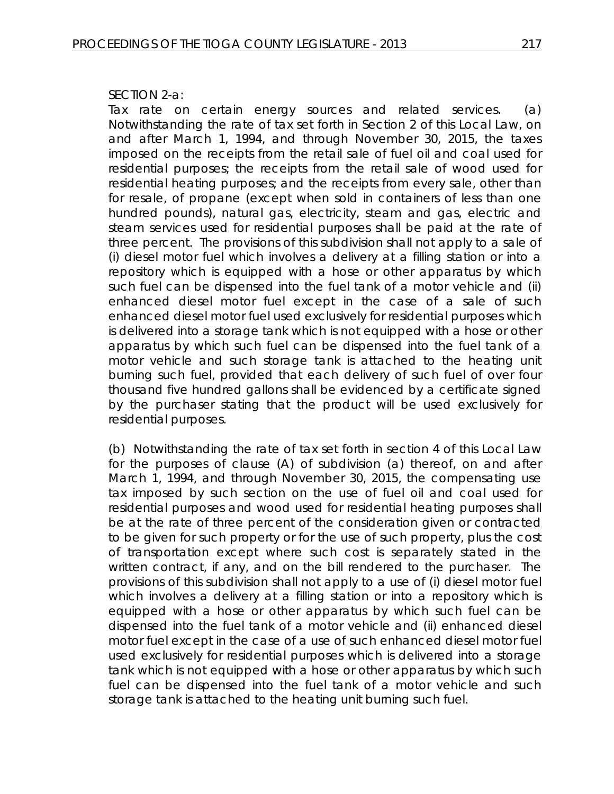#### SECTION 2-a:

Tax rate on certain energy sources and related services. (a) Notwithstanding the rate of tax set forth in Section 2 of this Local Law, on and after March 1, 1994, and through November 30, 2015, the taxes imposed on the receipts from the retail sale of fuel oil and coal used for residential purposes; the receipts from the retail sale of wood used for residential heating purposes; and the receipts from every sale, other than for resale, of propane (except when sold in containers of less than one hundred pounds), natural gas, electricity, steam and gas, electric and steam services used for residential purposes shall be paid at the rate of three percent. The provisions of this subdivision shall not apply to a sale of (i) diesel motor fuel which involves a delivery at a filling station or into a repository which is equipped with a hose or other apparatus by which such fuel can be dispensed into the fuel tank of a motor vehicle and (ii) enhanced diesel motor fuel except in the case of a sale of such enhanced diesel motor fuel used exclusively for residential purposes which is delivered into a storage tank which is not equipped with a hose or other apparatus by which such fuel can be dispensed into the fuel tank of a motor vehicle and such storage tank is attached to the heating unit burning such fuel, provided that each delivery of such fuel of over four thousand five hundred gallons shall be evidenced by a certificate signed by the purchaser stating that the product will be used exclusively for residential purposes.

(b) Notwithstanding the rate of tax set forth in section 4 of this Local Law for the purposes of clause (A) of subdivision (a) thereof, on and after March 1, 1994, and through November 30, 2015, the compensating use tax imposed by such section on the use of fuel oil and coal used for residential purposes and wood used for residential heating purposes shall be at the rate of three percent of the consideration given or contracted to be given for such property or for the use of such property, plus the cost of transportation except where such cost is separately stated in the written contract, if any, and on the bill rendered to the purchaser. The provisions of this subdivision shall not apply to a use of (i) diesel motor fuel which involves a delivery at a filling station or into a repository which is equipped with a hose or other apparatus by which such fuel can be dispensed into the fuel tank of a motor vehicle and (ii) enhanced diesel motor fuel except in the case of a use of such enhanced diesel motor fuel used exclusively for residential purposes which is delivered into a storage tank which is not equipped with a hose or other apparatus by which such fuel can be dispensed into the fuel tank of a motor vehicle and such storage tank is attached to the heating unit burning such fuel.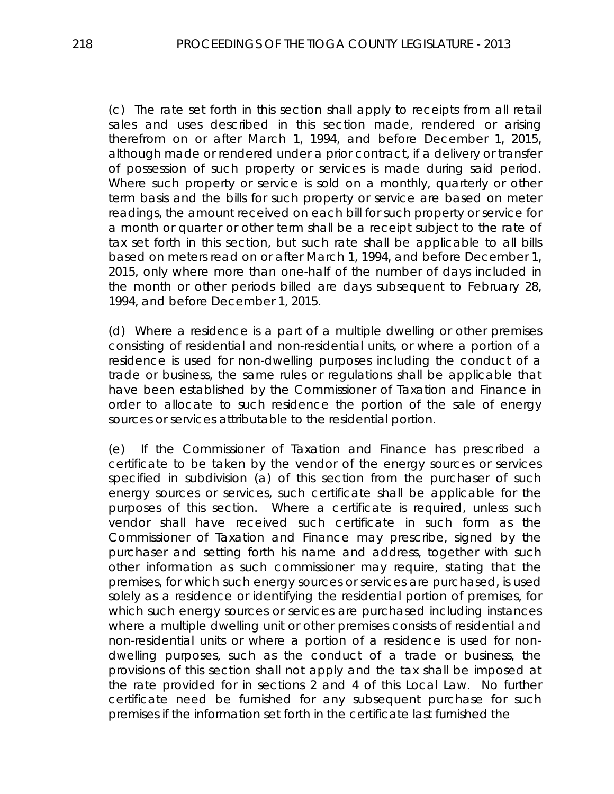(c) The rate set forth in this section shall apply to receipts from all retail sales and uses described in this section made, rendered or arising therefrom on or after March 1, 1994, and before December 1, 2015, although made or rendered under a prior contract, if a delivery or transfer of possession of such property or services is made during said period. Where such property or service is sold on a monthly, quarterly or other term basis and the bills for such property or service are based on meter readings, the amount received on each bill for such property or service for a month or quarter or other term shall be a receipt subject to the rate of tax set forth in this section, but such rate shall be applicable to all bills based on meters read on or after March 1, 1994, and before December 1, 2015, only where more than one-half of the number of days included in the month or other periods billed are days subsequent to February 28, 1994, and before December 1, 2015.

(d) Where a residence is a part of a multiple dwelling or other premises consisting of residential and non-residential units, or where a portion of a residence is used for non-dwelling purposes including the conduct of a trade or business, the same rules or regulations shall be applicable that have been established by the Commissioner of Taxation and Finance in order to allocate to such residence the portion of the sale of energy sources or services attributable to the residential portion.

(e) If the Commissioner of Taxation and Finance has prescribed a certificate to be taken by the vendor of the energy sources or services specified in subdivision (a) of this section from the purchaser of such energy sources or services, such certificate shall be applicable for the purposes of this section. Where a certificate is required, unless such vendor shall have received such certificate in such form as the Commissioner of Taxation and Finance may prescribe, signed by the purchaser and setting forth his name and address, together with such other information as such commissioner may require, stating that the premises, for which such energy sources or services are purchased, is used solely as a residence or identifying the residential portion of premises, for which such energy sources or services are purchased including instances where a multiple dwelling unit or other premises consists of residential and non-residential units or where a portion of a residence is used for nondwelling purposes, such as the conduct of a trade or business, the provisions of this section shall not apply and the tax shall be imposed at the rate provided for in sections 2 and 4 of this Local Law. No further certificate need be furnished for any subsequent purchase for such premises if the information set forth in the certificate last furnished the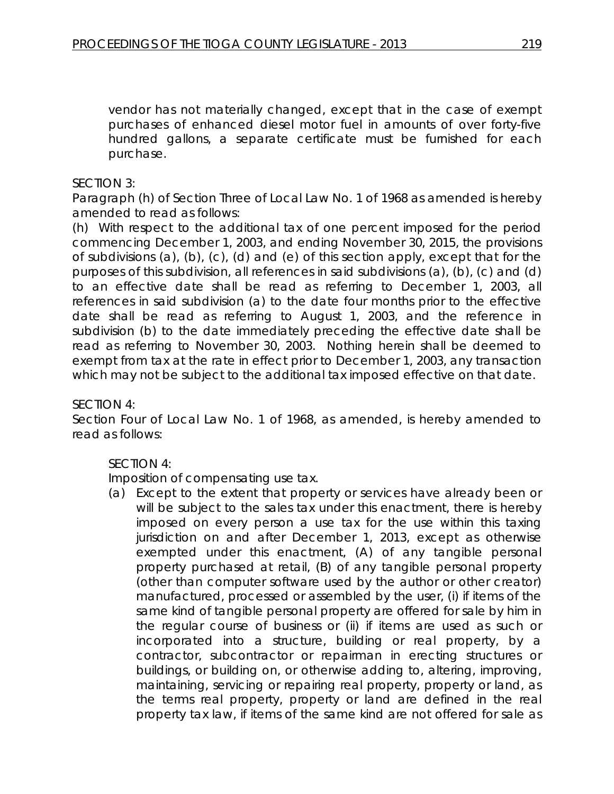vendor has not materially changed, except that in the case of exempt purchases of enhanced diesel motor fuel in amounts of over forty-five hundred gallons, a separate certificate must be furnished for each purchase.

# SECTION 3:

Paragraph (h) of Section Three of Local Law No. 1 of 1968 as amended is hereby amended to read as follows:

(h) With respect to the additional tax of one percent imposed for the period commencing December 1, 2003, and ending November 30, 2015, the provisions of subdivisions (a), (b), (c), (d) and (e) of this section apply, except that for the purposes of this subdivision, all references in said subdivisions (a), (b), (c) and (d) to an effective date shall be read as referring to December 1, 2003, all references in said subdivision (a) to the date four months prior to the effective date shall be read as referring to August 1, 2003, and the reference in subdivision (b) to the date immediately preceding the effective date shall be read as referring to November 30, 2003. Nothing herein shall be deemed to exempt from tax at the rate in effect prior to December 1, 2003, any transaction which may not be subject to the additional tax imposed effective on that date.

# SECTION 4:

Section Four of Local Law No. 1 of 1968, as amended, is hereby amended to read as follows:

# SECTION 4:

Imposition of compensating use tax.

(a) Except to the extent that property or services have already been or will be subject to the sales tax under this enactment, there is hereby imposed on every person a use tax for the use within this taxing jurisdiction on and after December 1, 2013, except as otherwise exempted under this enactment, (A) of any tangible personal property purchased at retail, (B) of any tangible personal property (other than computer software used by the author or other creator) manufactured, processed or assembled by the user, (i) if items of the same kind of tangible personal property are offered for sale by him in the regular course of business or (ii) if items are used as such or incorporated into a structure, building or real property, by a contractor, subcontractor or repairman in erecting structures or buildings, or building on, or otherwise adding to, altering, improving, maintaining, servicing or repairing real property, property or land, as the terms real property, property or land are defined in the real property tax law, if items of the same kind are not offered for sale as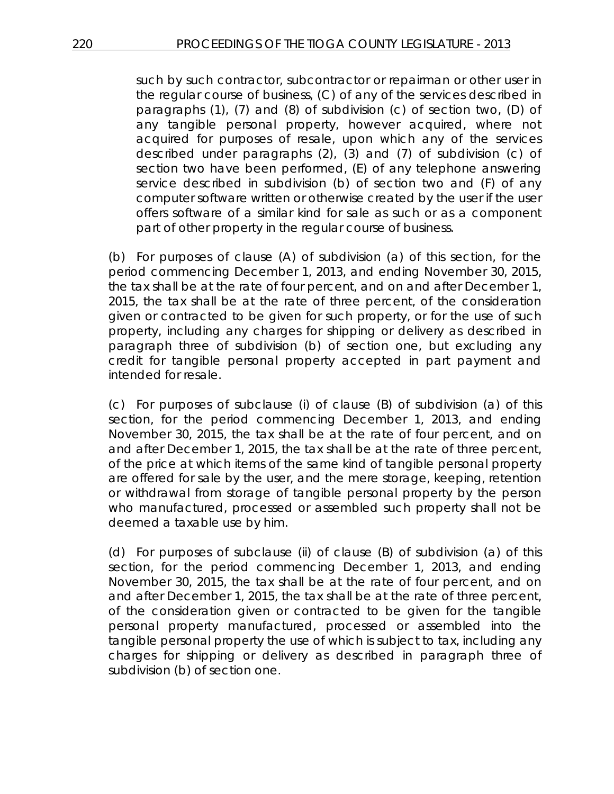such by such contractor, subcontractor or repairman or other user in the regular course of business, (C) of any of the services described in paragraphs (1), (7) and (8) of subdivision (c) of section two, (D) of any tangible personal property, however acquired, where not acquired for purposes of resale, upon which any of the services described under paragraphs (2), (3) and (7) of subdivision (c) of section two have been performed, (E) of any telephone answering service described in subdivision (b) of section two and (F) of any computer software written or otherwise created by the user if the user offers software of a similar kind for sale as such or as a component part of other property in the regular course of business.

(b) For purposes of clause (A) of subdivision (a) of this section, for the period commencing December 1, 2013, and ending November 30, 2015, the tax shall be at the rate of four percent, and on and after December 1, 2015, the tax shall be at the rate of three percent, of the consideration given or contracted to be given for such property, or for the use of such property, including any charges for shipping or delivery as described in paragraph three of subdivision (b) of section one, but excluding any credit for tangible personal property accepted in part payment and intended for resale.

(c) For purposes of subclause (i) of clause (B) of subdivision (a) of this section, for the period commencing December 1, 2013, and ending November 30, 2015, the tax shall be at the rate of four percent, and on and after December 1, 2015, the tax shall be at the rate of three percent, of the price at which items of the same kind of tangible personal property are offered for sale by the user, and the mere storage, keeping, retention or withdrawal from storage of tangible personal property by the person who manufactured, processed or assembled such property shall not be deemed a taxable use by him.

(d) For purposes of subclause (ii) of clause (B) of subdivision (a) of this section, for the period commencing December 1, 2013, and ending November 30, 2015, the tax shall be at the rate of four percent, and on and after December 1, 2015, the tax shall be at the rate of three percent, of the consideration given or contracted to be given for the tangible personal property manufactured, processed or assembled into the tangible personal property the use of which is subject to tax, including any charges for shipping or delivery as described in paragraph three of subdivision (b) of section one.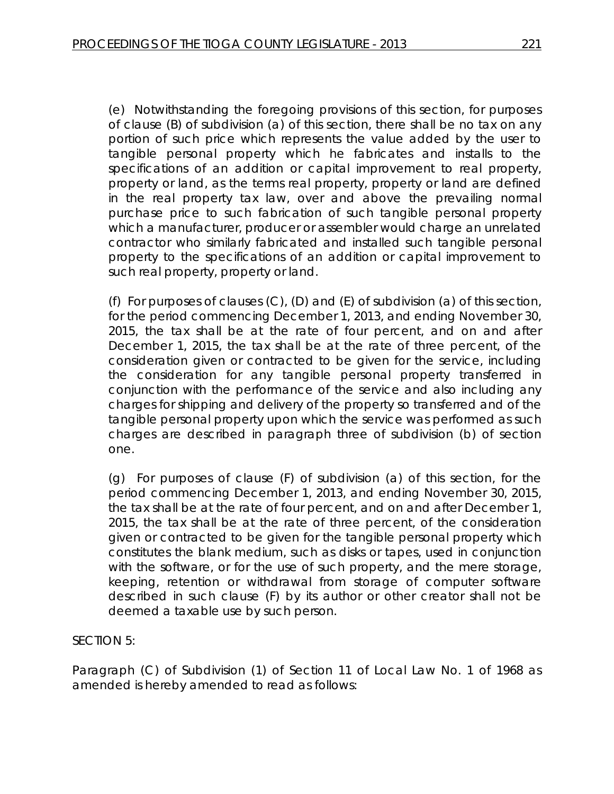(e) Notwithstanding the foregoing provisions of this section, for purposes of clause (B) of subdivision (a) of this section, there shall be no tax on any portion of such price which represents the value added by the user to tangible personal property which he fabricates and installs to the specifications of an addition or capital improvement to real property, property or land, as the terms real property, property or land are defined in the real property tax law, over and above the prevailing normal purchase price to such fabrication of such tangible personal property which a manufacturer, producer or assembler would charge an unrelated contractor who similarly fabricated and installed such tangible personal property to the specifications of an addition or capital improvement to such real property, property or land.

(f) For purposes of clauses (C), (D) and (E) of subdivision (a) of this section, for the period commencing December 1, 2013, and ending November 30, 2015, the tax shall be at the rate of four percent, and on and after December 1, 2015, the tax shall be at the rate of three percent, of the consideration given or contracted to be given for the service, including the consideration for any tangible personal property transferred in conjunction with the performance of the service and also including any charges for shipping and delivery of the property so transferred and of the tangible personal property upon which the service was performed as such charges are described in paragraph three of subdivision (b) of section one.

(g) For purposes of clause (F) of subdivision (a) of this section, for the period commencing December 1, 2013, and ending November 30, 2015, the tax shall be at the rate of four percent, and on and after December 1, 2015, the tax shall be at the rate of three percent, of the consideration given or contracted to be given for the tangible personal property which constitutes the blank medium, such as disks or tapes, used in conjunction with the software, or for the use of such property, and the mere storage, keeping, retention or withdrawal from storage of computer software described in such clause (F) by its author or other creator shall not be deemed a taxable use by such person.

SECTION 5:

Paragraph (C) of Subdivision (1) of Section 11 of Local Law No. 1 of 1968 as amended is hereby amended to read as follows: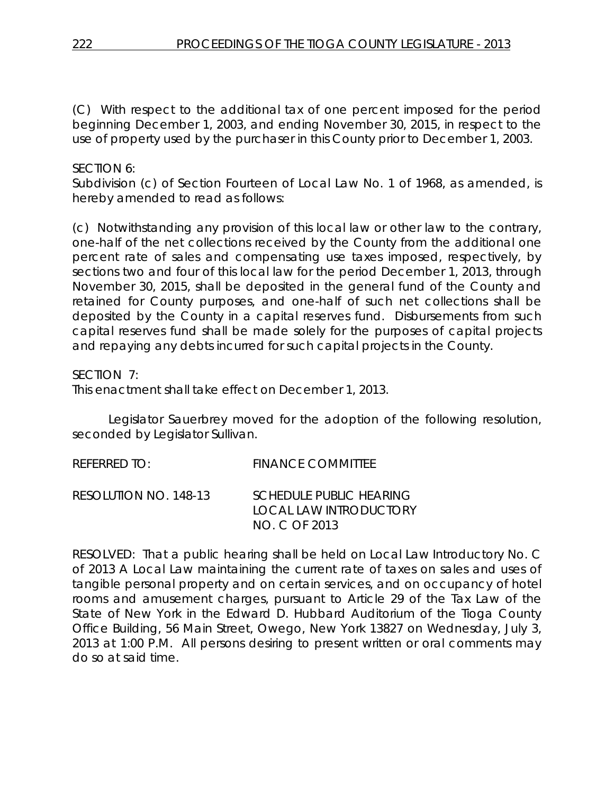(C) With respect to the additional tax of one percent imposed for the period beginning December 1, 2003, and ending November 30, 2015, in respect to the use of property used by the purchaser in this County prior to December 1, 2003.

# SECTION 6:

Subdivision (c) of Section Fourteen of Local Law No. 1 of 1968, as amended, is hereby amended to read as follows:

(c) Notwithstanding any provision of this local law or other law to the contrary, one-half of the net collections received by the County from the additional one percent rate of sales and compensating use taxes imposed, respectively, by sections two and four of this local law for the period December 1, 2013, through November 30, 2015, shall be deposited in the general fund of the County and retained for County purposes, and one-half of such net collections shall be deposited by the County in a capital reserves fund. Disbursements from such capital reserves fund shall be made solely for the purposes of capital projects and repaying any debts incurred for such capital projects in the County.

SECTION 7:

This enactment shall take effect on December 1, 2013.

Legislator Sauerbrey moved for the adoption of the following resolution, seconded by Legislator Sullivan.

| REFERRED TO:          | <b>FINANCE COMMITTEE</b>                                                  |
|-----------------------|---------------------------------------------------------------------------|
| RESOLUTION NO. 148-13 | <b>SCHEDULE PUBLIC HEARING</b><br>LOCAL LAW INTRODUCTORY<br>NO. C OF 2013 |

RESOLVED: That a public hearing shall be held on Local Law Introductory No. C of 2013 A Local Law maintaining the current rate of taxes on sales and uses of tangible personal property and on certain services, and on occupancy of hotel rooms and amusement charges, pursuant to Article 29 of the Tax Law of the State of New York in the Edward D. Hubbard Auditorium of the Tioga County Office Building, 56 Main Street, Owego, New York 13827 on Wednesday, July 3, 2013 at 1:00 P.M. All persons desiring to present written or oral comments may do so at said time.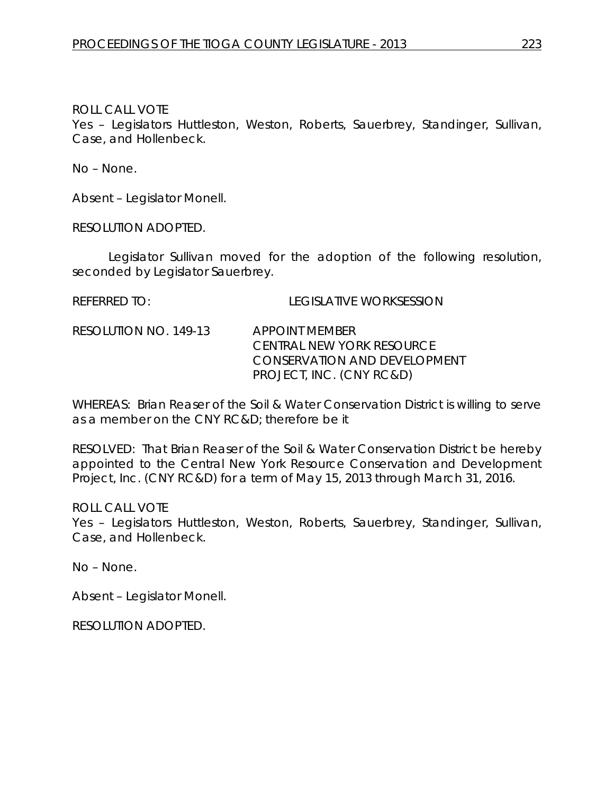Yes – Legislators Huttleston, Weston, Roberts, Sauerbrey, Standinger, Sullivan, Case, and Hollenbeck.

No – None.

Absent – Legislator Monell.

RESOLUTION ADOPTED.

Legislator Sullivan moved for the adoption of the following resolution, seconded by Legislator Sauerbrey.

REFERRED TO: LEGISLATIVE WORKSESSION

RESOLUTION NO. 149-13 *APPOINT MEMBER CENTRAL NEW YORK RESOURCE CONSERVATION AND DEVELOPMENT PROJECT, INC. (CNY RC&D)*

WHEREAS: Brian Reaser of the Soil & Water Conservation District is willing to serve as a member on the CNY RC&D; therefore be it

RESOLVED: That Brian Reaser of the Soil & Water Conservation District be hereby appointed to the Central New York Resource Conservation and Development Project, Inc. (CNY RC&D) for a term of May 15, 2013 through March 31, 2016.

ROLL CALL VOTE

Yes – Legislators Huttleston, Weston, Roberts, Sauerbrey, Standinger, Sullivan, Case, and Hollenbeck.

No – None.

Absent – Legislator Monell.

RESOLUTION ADOPTED.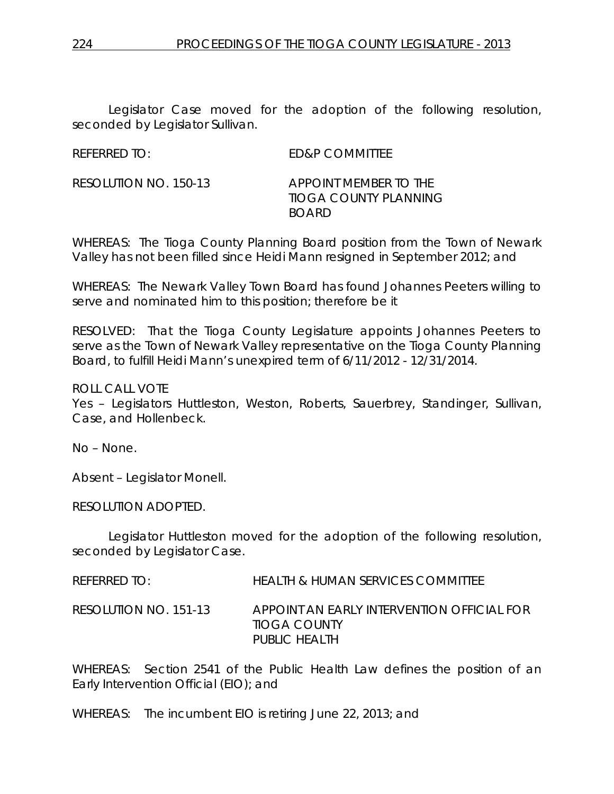Legislator Case moved for the adoption of the following resolution, seconded by Legislator Sullivan.

REFERRED TO: ED&P COMMITTEE

RESOLUTION NO. 150-13 *APPOINT MEMBER TO THE TIOGA COUNTY PLANNING BOARD*

WHEREAS: The Tioga County Planning Board position from the Town of Newark Valley has not been filled since Heidi Mann resigned in September 2012; and

WHEREAS: The Newark Valley Town Board has found Johannes Peeters willing to serve and nominated him to this position; therefore be it

RESOLVED: That the Tioga County Legislature appoints Johannes Peeters to serve as the Town of Newark Valley representative on the Tioga County Planning Board, to fulfill Heidi Mann's unexpired term of 6/11/2012 - 12/31/2014.

ROLL CALL VOTE

Yes – Legislators Huttleston, Weston, Roberts, Sauerbrey, Standinger, Sullivan, Case, and Hollenbeck.

No – None.

Absent – Legislator Monell.

RESOLUTION ADOPTED.

Legislator Huttleston moved for the adoption of the following resolution, seconded by Legislator Case.

REFERRED TO: HEALTH & HUMAN SERVICES COMMITTEE

RESOLUTION NO. 151-13 *APPOINT AN EARLY INTERVENTION OFFICIAL FOR TIOGA COUNTY PUBLIC HEALTH*

WHEREAS: Section 2541 of the Public Health Law defines the position of an Early Intervention Official (EIO); and

WHEREAS: The incumbent EIO is retiring June 22, 2013; and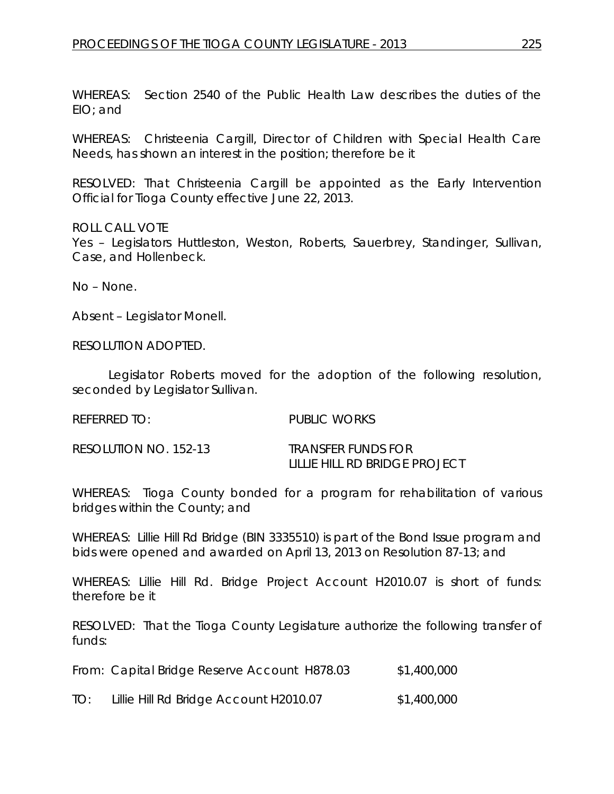WHEREAS: Section 2540 of the Public Health Law describes the duties of the EIO; and

WHEREAS: Christeenia Cargill, Director of Children with Special Health Care Needs, has shown an interest in the position; therefore be it

RESOLVED: That Christeenia Cargill be appointed as the Early Intervention Official for Tioga County effective June 22, 2013.

ROLL CALL VOTE Yes – Legislators Huttleston, Weston, Roberts, Sauerbrey, Standinger, Sullivan, Case, and Hollenbeck.

No – None.

Absent – Legislator Monell.

RESOLUTION ADOPTED.

Legislator Roberts moved for the adoption of the following resolution, seconded by Legislator Sullivan.

REFERRED TO: PUBLIC WORKS

| RESOLUTION NO. 152-13 | <b>TRANSFER FUNDS FOR</b>     |
|-----------------------|-------------------------------|
|                       | LILLIE HILL RD BRIDGE PROJECT |

WHEREAS: Tioga County bonded for a program for rehabilitation of various bridges within the County; and

WHEREAS: Lillie Hill Rd Bridge (BIN 3335510) is part of the Bond Issue program and bids were opened and awarded on April 13, 2013 on Resolution 87-13; and

WHEREAS: Lillie Hill Rd. Bridge Project Account H2010.07 is short of funds: therefore be it

RESOLVED: That the Tioga County Legislature authorize the following transfer of funds:

From: Capital Bridge Reserve Account H878.03 \$1,400,000

TO: Lillie Hill Rd Bridge Account H2010.07 \$1,400,000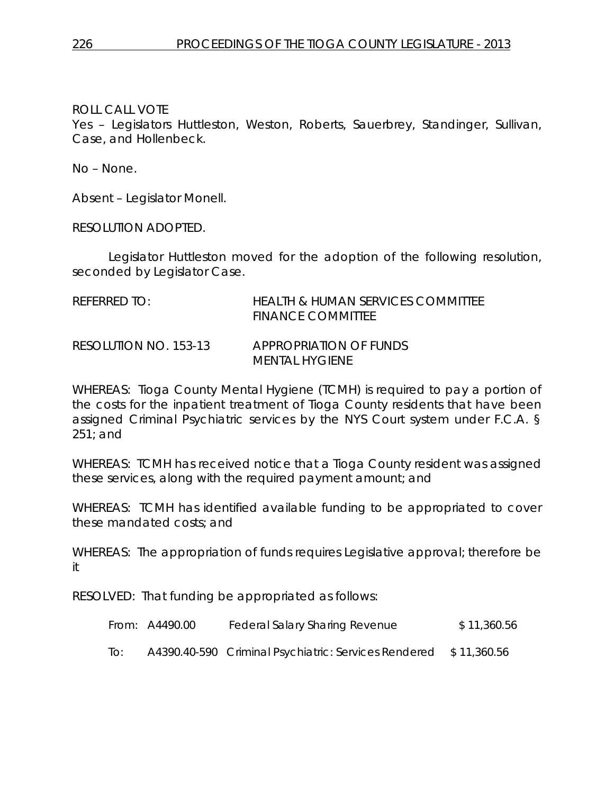Yes – Legislators Huttleston, Weston, Roberts, Sauerbrey, Standinger, Sullivan, Case, and Hollenbeck.

No – None.

Absent – Legislator Monell.

RESOLUTION ADOPTED.

Legislator Huttleston moved for the adoption of the following resolution, seconded by Legislator Case.

| REFERRED TO:          | <b>HEALTH &amp; HUMAN SERVICES COMMITTEE</b><br><b>FINANCE COMMITTEE</b> |
|-----------------------|--------------------------------------------------------------------------|
| RESOLUTION NO. 153-13 | APPROPRIATION OF FUNDS<br>MENTAL HYGIENE                                 |

WHEREAS: Tioga County Mental Hygiene (TCMH) is required to pay a portion of the costs for the inpatient treatment of Tioga County residents that have been assigned Criminal Psychiatric services by the NYS Court system under F.C.A. § 251; and

WHEREAS: TCMH has received notice that a Tioga County resident was assigned these services, along with the required payment amount; and

WHEREAS: TCMH has identified available funding to be appropriated to cover these mandated costs; and

WHEREAS: The appropriation of funds requires Legislative approval; therefore be it

RESOLVED: That funding be appropriated as follows:

|     | From: A4490.00 | <b>Federal Salary Sharing Revenue</b>                            | \$11,360.56 |
|-----|----------------|------------------------------------------------------------------|-------------|
| To: |                | A4390.40-590 Criminal Psychiatric: Services Rendered \$11,360.56 |             |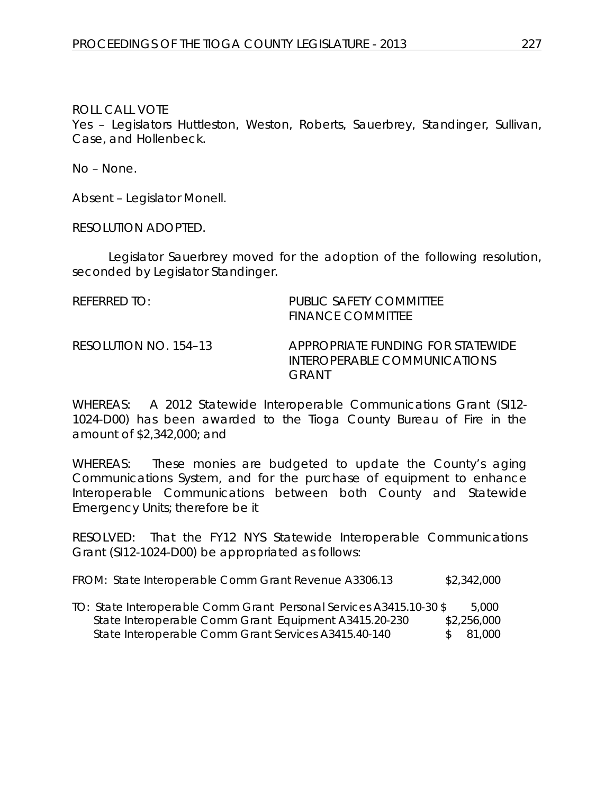Yes – Legislators Huttleston, Weston, Roberts, Sauerbrey, Standinger, Sullivan, Case, and Hollenbeck.

No – None.

Absent – Legislator Monell.

RESOLUTION ADOPTED.

Legislator Sauerbrey moved for the adoption of the following resolution, seconded by Legislator Standinger.

| REFERRED TO:          | PUBLIC SAFETY COMMITTEE<br><b>FINANCE COMMITTEE</b>                        |
|-----------------------|----------------------------------------------------------------------------|
| RESOLUTION NO. 154–13 | APPROPRIATE FUNDING FOR STATEWIDE<br>INTEROPERABLE COMMUNICATIONS<br>GRANT |

WHEREAS: A 2012 Statewide Interoperable Communications Grant (SI12- 1024-D00) has been awarded to the Tioga County Bureau of Fire in the amount of \$2,342,000; and

WHEREAS: These monies are budgeted to update the County's aging Communications System, and for the purchase of equipment to enhance Interoperable Communications between both County and Statewide Emergency Units; therefore be it

RESOLVED: That the FY12 NYS Statewide Interoperable Communications Grant (SI12-1024-D00) be appropriated as follows:

| FROM: State Interoperable Comm Grant Revenue A3306.13 | \$2,342,000 |
|-------------------------------------------------------|-------------|
|-------------------------------------------------------|-------------|

TO: State Interoperable Comm Grant Personal Services A3415.10-30 \$ 5,000 State Interoperable Comm Grant Equipment A3415.20-230 \$2,256,000 State Interoperable Comm Grant Services A3415.40-140 \$ 81,000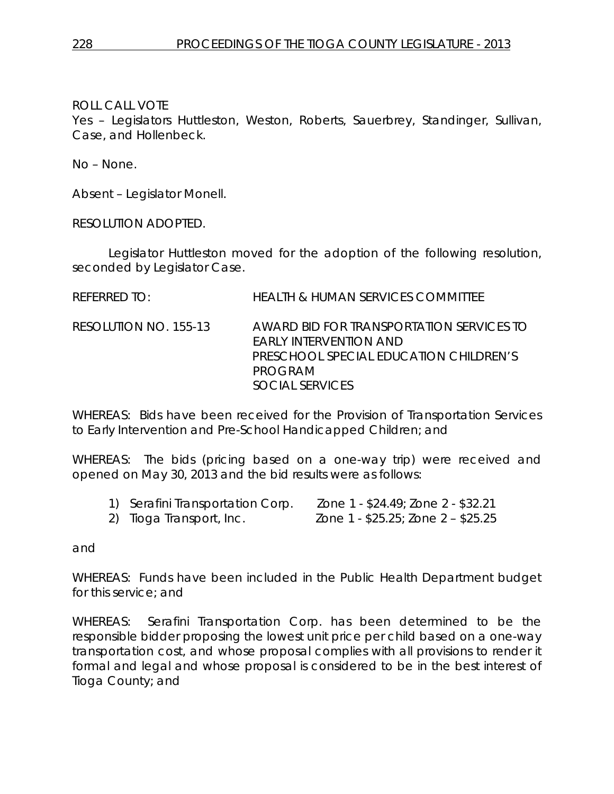Yes – Legislators Huttleston, Weston, Roberts, Sauerbrey, Standinger, Sullivan, Case, and Hollenbeck.

No – None.

Absent – Legislator Monell.

RESOLUTION ADOPTED.

Legislator Huttleston moved for the adoption of the following resolution, seconded by Legislator Case.

REFERRED TO: HEALTH & HUMAN SERVICES COMMITTEE

RESOLUTION NO. 155-13 *AWARD BID FOR TRANSPORTATION SERVICES TO EARLY INTERVENTION AND PRESCHOOL SPECIAL EDUCATION CHILDREN'S PROGRAM SOCIAL SERVICES*

WHEREAS: Bids have been received for the Provision of Transportation Services to Early Intervention and Pre-School Handicapped Children; and

WHEREAS: The bids (pricing based on a one-way trip) were received and opened on May 30, 2013 and the bid results were as follows:

| 1) Serafini Transportation Corp. | Zone 1 - \$24.49; Zone 2 - \$32.21 |
|----------------------------------|------------------------------------|
| 2) Tioga Transport, Inc.         | Zone 1 - \$25.25; Zone 2 - \$25.25 |

and

WHEREAS: Funds have been included in the Public Health Department budget for this service; and

WHEREAS: Serafini Transportation Corp. has been determined to be the responsible bidder proposing the lowest unit price per child based on a one-way transportation cost, and whose proposal complies with all provisions to render it formal and legal and whose proposal is considered to be in the best interest of Tioga County; and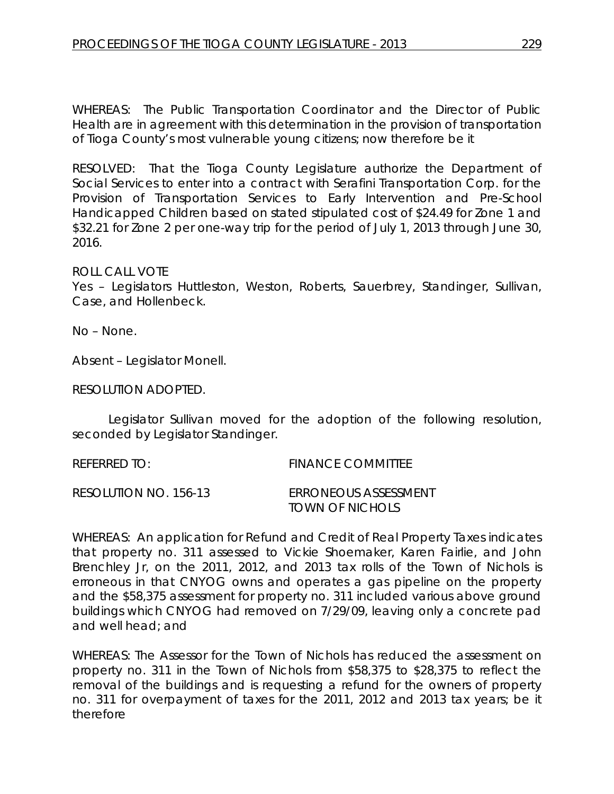WHEREAS: The Public Transportation Coordinator and the Director of Public Health are in agreement with this determination in the provision of transportation of Tioga County's most vulnerable young citizens; now therefore be it

RESOLVED:That the Tioga County Legislature authorize the Department of Social Services to enter into a contract with Serafini Transportation Corp. for the Provision of Transportation Services to Early Intervention and Pre-School Handicapped Children based on stated stipulated cost of \$24.49 for Zone 1 and \$32.21 for Zone 2 per one-way trip for the period of July 1, 2013 through June 30, 2016.

#### ROLL CALL VOTE

Yes – Legislators Huttleston, Weston, Roberts, Sauerbrey, Standinger, Sullivan, Case, and Hollenbeck.

No – None.

Absent – Legislator Monell.

RESOLUTION ADOPTED.

Legislator Sullivan moved for the adoption of the following resolution, seconded by Legislator Standinger.

REFERRED TO: FINANCE COMMITTEE RESOLUTION NO. 156-13 *ERRONEOUS ASSESSMENT TOWN OF NICHOLS*

WHEREAS: An application for Refund and Credit of Real Property Taxes indicates that property no. 311 assessed to Vickie Shoemaker, Karen Fairlie, and John Brenchley Jr, on the 2011, 2012, and 2013 tax rolls of the Town of Nichols is erroneous in that CNYOG owns and operates a gas pipeline on the property and the \$58,375 assessment for property no. 311 included various above ground buildings which CNYOG had removed on 7/29/09, leaving only a concrete pad and well head; and

WHEREAS: The Assessor for the Town of Nichols has reduced the assessment on property no. 311 in the Town of Nichols from \$58,375 to \$28,375 to reflect the removal of the buildings and is requesting a refund for the owners of property no. 311 for overpayment of taxes for the 2011, 2012 and 2013 tax years; be it therefore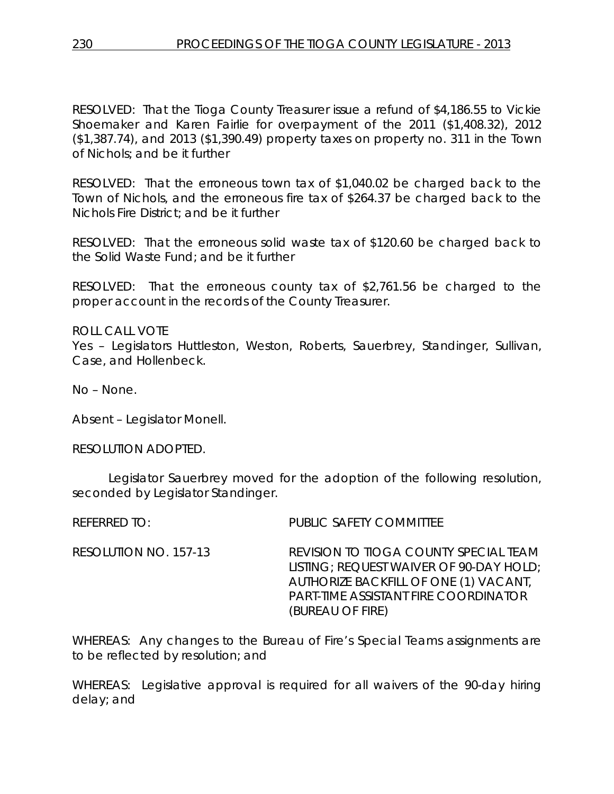RESOLVED: That the Tioga County Treasurer issue a refund of \$4,186.55 to Vickie Shoemaker and Karen Fairlie for overpayment of the 2011 (\$1,408.32), 2012 (\$1,387.74), and 2013 (\$1,390.49) property taxes on property no. 311 in the Town of Nichols; and be it further

RESOLVED: That the erroneous town tax of \$1,040.02 be charged back to the Town of Nichols, and the erroneous fire tax of \$264.37 be charged back to the Nichols Fire District; and be it further

RESOLVED: That the erroneous solid waste tax of \$120.60 be charged back to the Solid Waste Fund; and be it further

RESOLVED: That the erroneous county tax of \$2,761.56 be charged to the proper account in the records of the County Treasurer.

ROLL CALL VOTE Yes – Legislators Huttleston, Weston, Roberts, Sauerbrey, Standinger, Sullivan, Case, and Hollenbeck.

No – None.

Absent – Legislator Monell.

RESOLUTION ADOPTED.

Legislator Sauerbrey moved for the adoption of the following resolution, seconded by Legislator Standinger.

REFERRED TO: PUBLIC SAFETY COMMITTEE

RESOLUTION NO. 157-13 *REVISION TO TIOGA COUNTY SPECIAL TEAM LISTING; REQUEST WAIVER OF 90-DAY HOLD; AUTHORIZE BACKFILL OF ONE (1) VACANT, PART-TIME ASSISTANT FIRE COORDINATOR (BUREAU OF FIRE)*

WHEREAS: Any changes to the Bureau of Fire's Special Teams assignments are to be reflected by resolution; and

WHEREAS: Legislative approval is required for all waivers of the 90-day hiring delay; and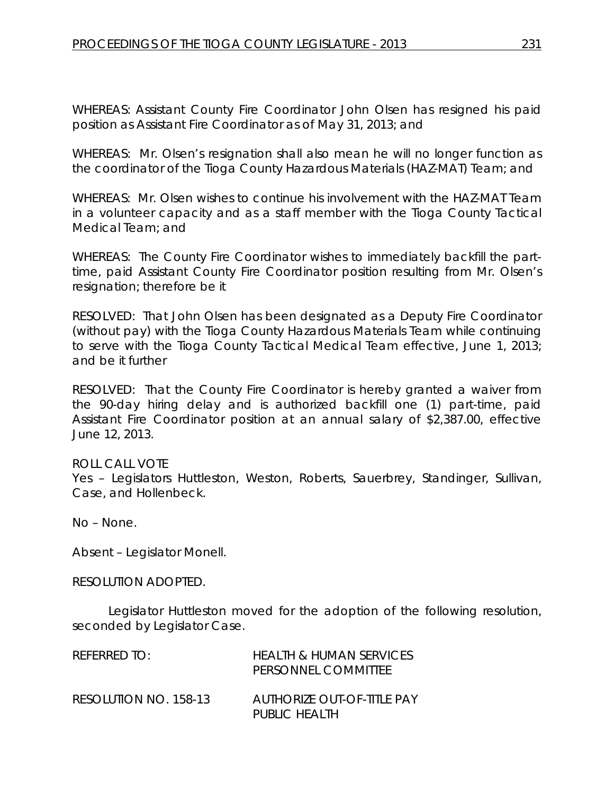WHEREAS: Assistant County Fire Coordinator John Olsen has resigned his paid position as Assistant Fire Coordinator as of May 31, 2013; and

WHEREAS: Mr. Olsen's resignation shall also mean he will no longer function as the coordinator of the Tioga County Hazardous Materials (HAZ-MAT) Team; and

WHEREAS: Mr. Olsen wishes to continue his involvement with the HAZ-MAT Team in a volunteer capacity and as a staff member with the Tioga County Tactical Medical Team; and

WHEREAS: The County Fire Coordinator wishes to immediately backfill the parttime, paid Assistant County Fire Coordinator position resulting from Mr. Olsen's resignation; therefore be it

RESOLVED: That John Olsen has been designated as a Deputy Fire Coordinator (without pay) with the Tioga County Hazardous Materials Team while continuing to serve with the Tioga County Tactical Medical Team effective, June 1, 2013; and be it further

RESOLVED: That the County Fire Coordinator is hereby granted a waiver from the 90-day hiring delay and is authorized backfill one (1) part-time, paid Assistant Fire Coordinator position at an annual salary of \$2,387.00, effective June 12, 2013.

ROLL CALL VOTE Yes – Legislators Huttleston, Weston, Roberts, Sauerbrey, Standinger, Sullivan, Case, and Hollenbeck.

No – None.

Absent – Legislator Monell.

RESOLUTION ADOPTED.

Legislator Huttleston moved for the adoption of the following resolution, seconded by Legislator Case.

| REFERRED TO:          | HEALTH & HUMAN SERVICES<br>PERSONNEL COMMITTEE |
|-----------------------|------------------------------------------------|
| RESOLUTION NO. 158-13 | AUTHORIZE OUT-OF-TITLE PAY<br>PUBLIC HEALTH    |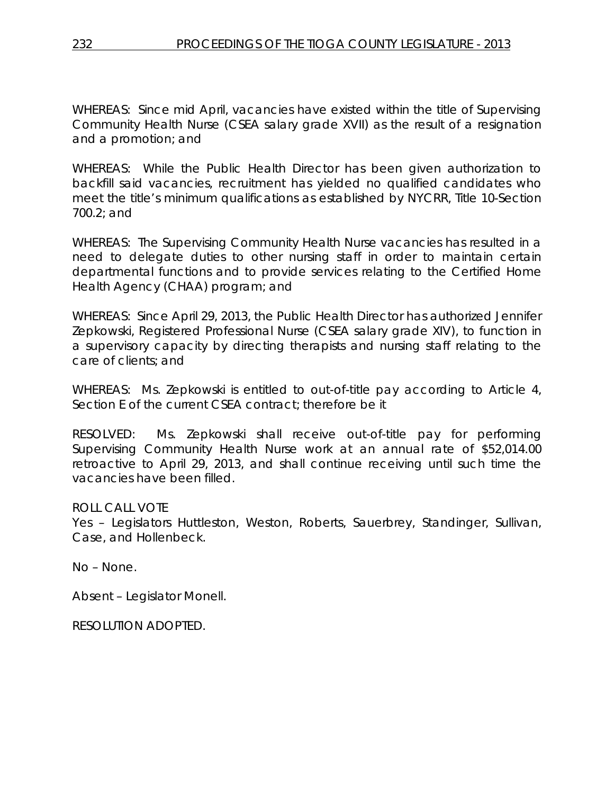WHEREAS: Since mid April, vacancies have existed within the title of Supervising Community Health Nurse (CSEA salary grade XVII) as the result of a resignation and a promotion; and

WHEREAS: While the Public Health Director has been given authorization to backfill said vacancies, recruitment has yielded no qualified candidates who meet the title's minimum qualifications as established by NYCRR, Title 10-Section 700.2; and

WHEREAS: The Supervising Community Health Nurse vacancies has resulted in a need to delegate duties to other nursing staff in order to maintain certain departmental functions and to provide services relating to the Certified Home Health Agency (CHAA) program; and

WHEREAS: Since April 29, 2013, the Public Health Director has authorized Jennifer Zepkowski, Registered Professional Nurse (CSEA salary grade XIV), to function in a supervisory capacity by directing therapists and nursing staff relating to the care of clients; and

WHEREAS: Ms. Zepkowski is entitled to out-of-title pay according to Article 4, Section E of the current CSEA contract; therefore be it

RESOLVED: Ms. Zepkowski shall receive out-of-title pay for performing Supervising Community Health Nurse work at an annual rate of \$52,014.00 retroactive to April 29, 2013, and shall continue receiving until such time the vacancies have been filled.

ROLL CALL VOTE

Yes – Legislators Huttleston, Weston, Roberts, Sauerbrey, Standinger, Sullivan, Case, and Hollenbeck.

No – None.

Absent – Legislator Monell.

RESOLUTION ADOPTED.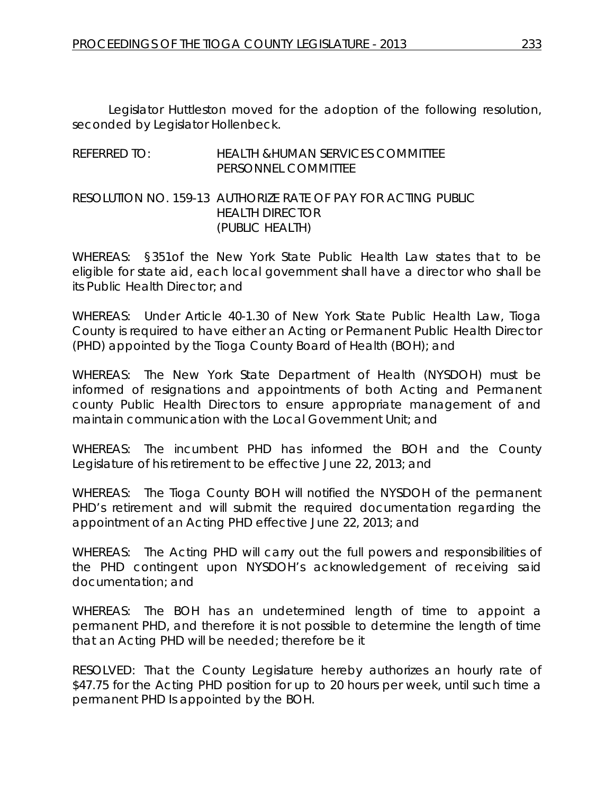Legislator Huttleston moved for the adoption of the following resolution, seconded by Legislator Hollenbeck.

# REFERRED TO: HEALTH &HUMAN SERVICES COMMITTEE PERSONNEL COMMITTEE

### RESOLUTION NO. 159-13 *AUTHORIZE RATE OF PAY FOR ACTING PUBLIC HEALTH DIRECTOR (PUBLIC HEALTH)*

WHEREAS: §351of the New York State Public Health Law states that to be eligible for state aid, each local government shall have a director who shall be its Public Health Director; and

WHEREAS: Under Article 40-1.30 of New York State Public Health Law, Tioga County is required to have either an Acting or Permanent Public Health Director (PHD) appointed by the Tioga County Board of Health (BOH); and

WHEREAS: The New York State Department of Health (NYSDOH) must be informed of resignations and appointments of both Acting and Permanent county Public Health Directors to ensure appropriate management of and maintain communication with the Local Government Unit; and

WHEREAS: The incumbent PHD has informed the BOH and the County Legislature of his retirement to be effective June 22, 2013; and

WHEREAS: The Tioga County BOH will notified the NYSDOH of the permanent PHD's retirement and will submit the required documentation regarding the appointment of an Acting PHD effective June 22, 2013; and

WHEREAS: The Acting PHD will carry out the full powers and responsibilities of the PHD contingent upon NYSDOH's acknowledgement of receiving said documentation; and

WHEREAS: The BOH has an undetermined length of time to appoint a permanent PHD, and therefore it is not possible to determine the length of time that an Acting PHD will be needed; therefore be it

RESOLVED: That the County Legislature hereby authorizes an hourly rate of \$47.75 for the Acting PHD position for up to 20 hours per week, until such time a permanent PHD Is appointed by the BOH.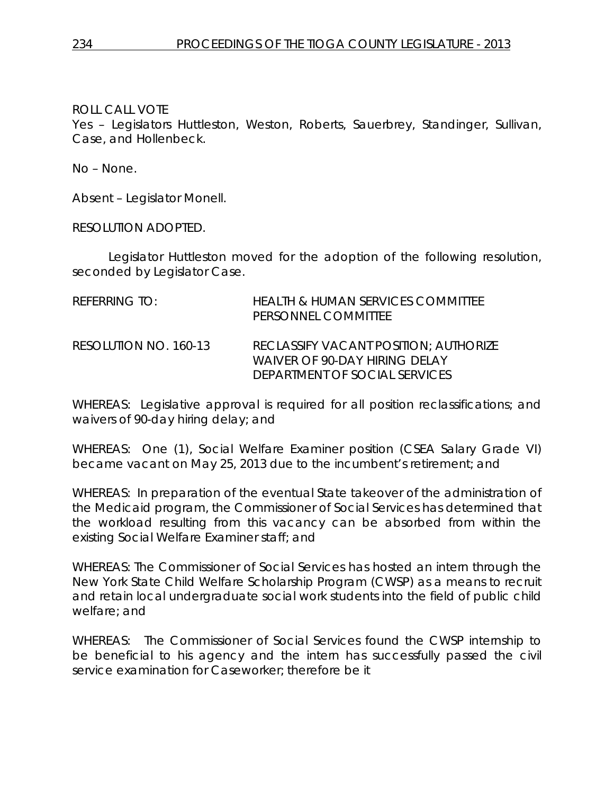Yes – Legislators Huttleston, Weston, Roberts, Sauerbrey, Standinger, Sullivan, Case, and Hollenbeck.

No – None.

Absent – Legislator Monell.

RESOLUTION ADOPTED.

Legislator Huttleston moved for the adoption of the following resolution, seconded by Legislator Case.

| <b>REFERRING TO:</b>  | HEALTH & HUMAN SERVICES COMMITTEE<br>PERSONNEL COMMITTEE                                                       |
|-----------------------|----------------------------------------------------------------------------------------------------------------|
| RESOLUTION NO. 160-13 | <b>RECLASSIFY VACANT POSITION: AUTHORIZE</b><br>WAIVER OF 90-DAY HIRING DELAY<br>DEPARTMENT OF SOCIAL SERVICES |

WHEREAS: Legislative approval is required for all position reclassifications; and waivers of 90-day hiring delay; and

WHEREAS: One (1), Social Welfare Examiner position (CSEA Salary Grade VI) became vacant on May 25, 2013 due to the incumbent's retirement; and

WHEREAS: In preparation of the eventual State takeover of the administration of the Medicaid program, the Commissioner of Social Services has determined that the workload resulting from this vacancy can be absorbed from within the existing Social Welfare Examiner staff; and

WHEREAS: The Commissioner of Social Services has hosted an intern through the New York State Child Welfare Scholarship Program (CWSP) as a means to recruit and retain local undergraduate social work students into the field of public child welfare; and

WHEREAS: The Commissioner of Social Services found the CWSP internship to be beneficial to his agency and the intern has successfully passed the civil service examination for Caseworker; therefore be it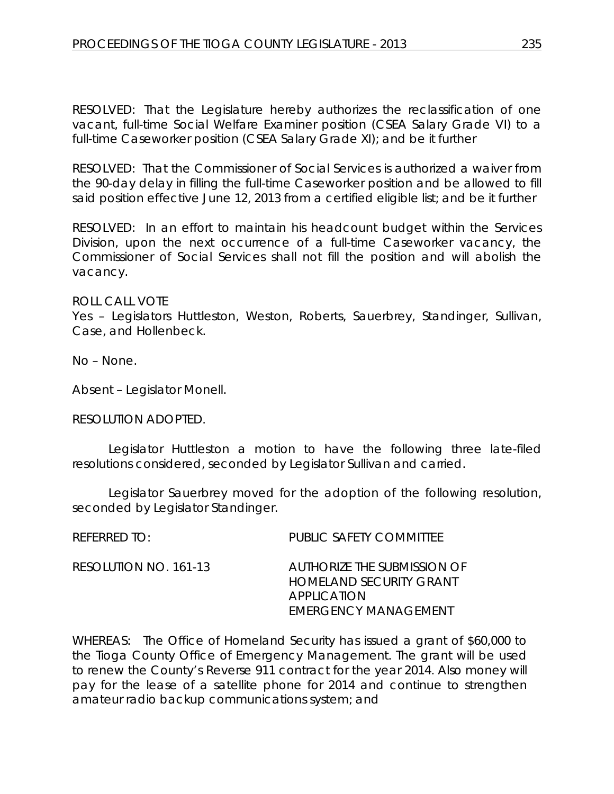RESOLVED: That the Legislature hereby authorizes the reclassification of one vacant, full-time Social Welfare Examiner position (CSEA Salary Grade VI) to a full-time Caseworker position (CSEA Salary Grade XI); and be it further

RESOLVED: That the Commissioner of Social Services is authorized a waiver from the 90-day delay in filling the full-time Caseworker position and be allowed to fill said position effective June 12, 2013 from a certified eligible list; and be it further

RESOLVED: In an effort to maintain his headcount budget within the Services Division, upon the next occurrence of a full-time Caseworker vacancy, the Commissioner of Social Services shall not fill the position and will abolish the vacancy.

#### ROLL CALL VOTE

Yes – Legislators Huttleston, Weston, Roberts, Sauerbrey, Standinger, Sullivan, Case, and Hollenbeck.

No – None.

Absent – Legislator Monell.

#### RESOLUTION ADOPTED.

Legislator Huttleston a motion to have the following three late-filed resolutions considered, seconded by Legislator Sullivan and carried.

Legislator Sauerbrey moved for the adoption of the following resolution, seconded by Legislator Standinger.

| $R$ FFFRRFD T $O_1$   | PUBLIC SAFETY COMMITTEE                                                                              |
|-----------------------|------------------------------------------------------------------------------------------------------|
| RESOLUTION NO. 161-13 | AUTHORIZE THE SUBMISSION OF<br>HOMELAND SECURITY GRANT<br><b>APPLICATION</b><br>EMERGENCY MANAGEMENT |

WHEREAS: The Office of Homeland Security has issued a grant of \$60,000 to the Tioga County Office of Emergency Management. The grant will be used to renew the County's Reverse 911 contract for the year 2014. Also money will pay for the lease of a satellite phone for 2014 and continue to strengthen amateur radio backup communications system; and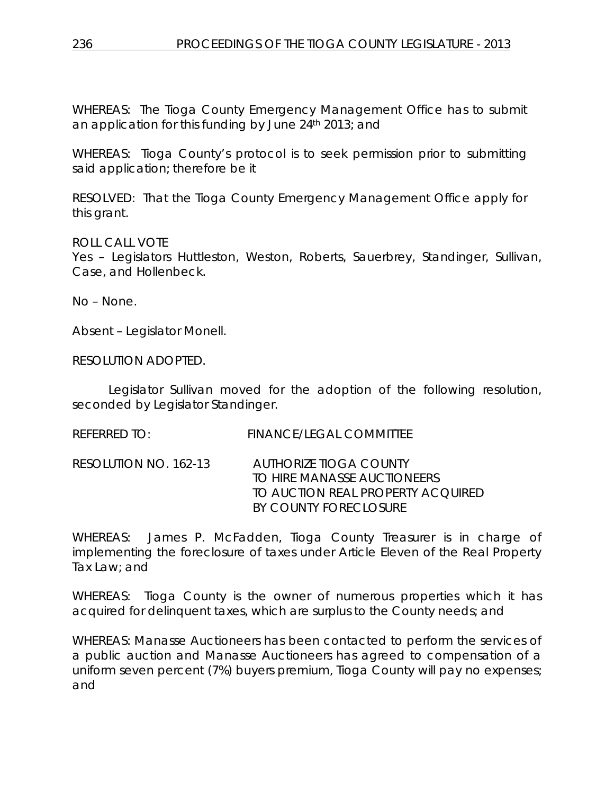WHEREAS: The Tioga County Emergency Management Office has to submit an application for this funding by June 24th 2013; and

WHEREAS: Tioga County's protocol is to seek permission prior to submitting said application; therefore be it

RESOLVED: That the Tioga County Emergency Management Office apply for this grant.

ROLL CALL VOTE

Yes – Legislators Huttleston, Weston, Roberts, Sauerbrey, Standinger, Sullivan, Case, and Hollenbeck.

No – None.

Absent – Legislator Monell.

RESOLUTION ADOPTED.

Legislator Sullivan moved for the adoption of the following resolution, seconded by Legislator Standinger.

REFERRED TO: FINANCE/LEGAL COMMITTEE

RESOLUTION NO. 162-13 *AUTHORIZE TIOGA COUNTY TO HIRE MANASSE AUCTIONEERS TO AUCTION REAL PROPERTY ACQUIRED BY COUNTY FORECLOSURE*

WHEREAS: James P. McFadden, Tioga County Treasurer is in charge of implementing the foreclosure of taxes under Article Eleven of the Real Property Tax Law; and

WHEREAS: Tioga County is the owner of numerous properties which it has acquired for delinquent taxes, which are surplus to the County needs; and

WHEREAS: Manasse Auctioneers has been contacted to perform the services of a public auction and Manasse Auctioneers has agreed to compensation of a uniform seven percent (7%) buyers premium, Tioga County will pay no expenses; and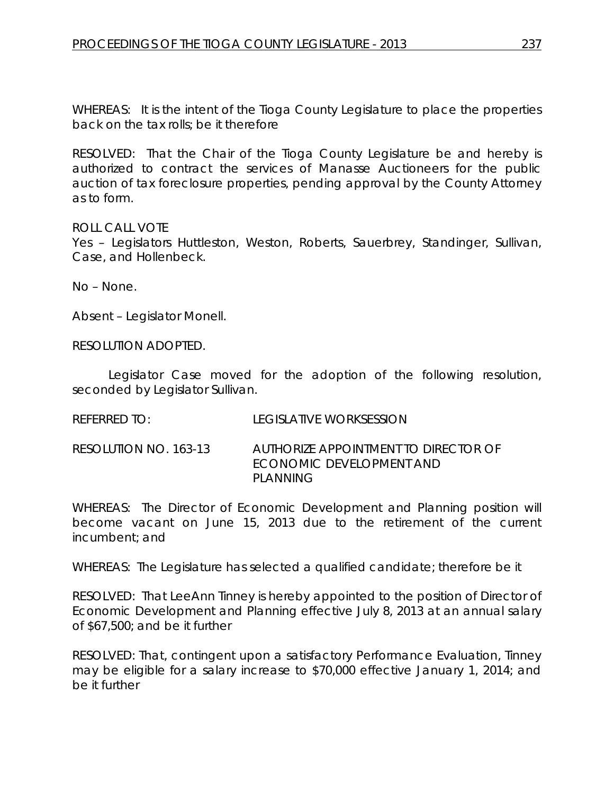WHEREAS: It is the intent of the Tioga County Legislature to place the properties back on the tax rolls; be it therefore

RESOLVED: That the Chair of the Tioga County Legislature be and hereby is authorized to contract the services of Manasse Auctioneers for the public auction of tax foreclosure properties, pending approval by the County Attorney as to form.

ROLL CALL VOTE

Yes – Legislators Huttleston, Weston, Roberts, Sauerbrey, Standinger, Sullivan, Case, and Hollenbeck.

No – None.

Absent – Legislator Monell.

RESOLUTION ADOPTED.

Legislator Case moved for the adoption of the following resolution, seconded by Legislator Sullivan.

REFERRED TO: LEGISLATIVE WORKSESSION

RESOLUTION NO. 163-13 *AUTHORIZE APPOINTMENT TO DIRECTOR OF ECONOMIC DEVELOPMENT AND PLANNING*

WHEREAS: The Director of Economic Development and Planning position will become vacant on June 15, 2013 due to the retirement of the current incumbent; and

WHEREAS: The Legislature has selected a qualified candidate; therefore be it

RESOLVED: That LeeAnn Tinney is hereby appointed to the position of Director of Economic Development and Planning effective July 8, 2013 at an annual salary of \$67,500; and be it further

RESOLVED: That, contingent upon a satisfactory Performance Evaluation, Tinney may be eligible for a salary increase to \$70,000 effective January 1, 2014; and be it further